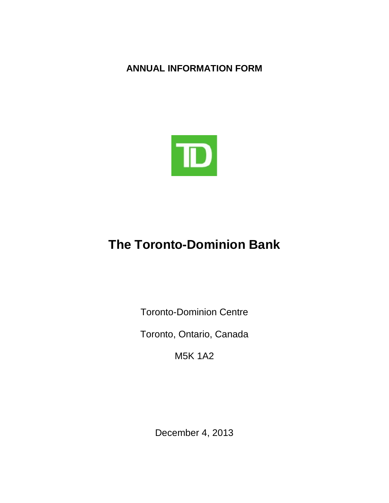**ANNUAL INFORMATION FORM**



# **The Toronto-Dominion Bank**

Toronto-Dominion Centre

Toronto, Ontario, Canada

M5K 1A2

December 4, 2013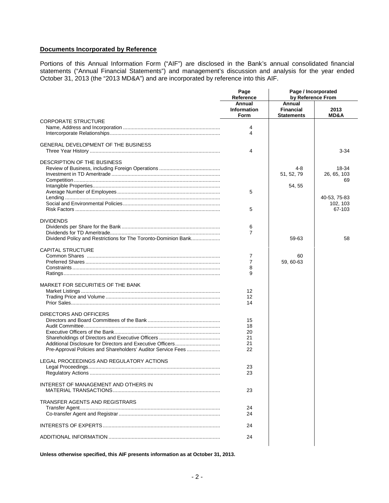# **Documents Incorporated by Reference**

Portions of this Annual Information Form ("AIF") are disclosed in the Bank's annual consolidated financial statements ("Annual Financial Statements") and management's discussion and analysis for the year ended October 31, 2013 (the "2013 MD&A") and are incorporated by reference into this AIF.

|                                                                | Page<br>Reference                    | Page / Incorporated<br>by Reference From        |                          |  |
|----------------------------------------------------------------|--------------------------------------|-------------------------------------------------|--------------------------|--|
|                                                                | Annual<br><b>Information</b><br>Form | Annual<br><b>Financial</b><br><b>Statements</b> | 2013<br><b>MD&amp;A</b>  |  |
| <b>CORPORATE STRUCTURE</b>                                     |                                      |                                                 |                          |  |
|                                                                | 4<br>4                               |                                                 |                          |  |
| GENERAL DEVELOPMENT OF THE BUSINESS                            |                                      |                                                 |                          |  |
|                                                                | 4                                    |                                                 | $3 - 34$                 |  |
| DESCRIPTION OF THE BUSINESS                                    |                                      |                                                 |                          |  |
|                                                                |                                      | 4-8<br>51, 52, 79                               | 18-34<br>26, 65, 103     |  |
|                                                                |                                      | 54, 55                                          | 69                       |  |
|                                                                | 5                                    |                                                 |                          |  |
|                                                                |                                      |                                                 | 40-53, 75-83<br>102, 103 |  |
|                                                                | 5                                    |                                                 | 67-103                   |  |
| <b>DIVIDENDS</b>                                               |                                      |                                                 |                          |  |
|                                                                | 6                                    |                                                 |                          |  |
| Dividend Policy and Restrictions for The Toronto-Dominion Bank | $\overline{7}$                       | 59-63                                           | 58                       |  |
| <b>CAPITAL STRUCTURE</b>                                       |                                      |                                                 |                          |  |
|                                                                | 7                                    | 60                                              |                          |  |
|                                                                | $\overline{7}$                       | 59, 60-63                                       |                          |  |
|                                                                | 8<br>9                               |                                                 |                          |  |
| MARKET FOR SECURITIES OF THE BANK                              |                                      |                                                 |                          |  |
|                                                                | 12                                   |                                                 |                          |  |
|                                                                | 12                                   |                                                 |                          |  |
|                                                                | 14                                   |                                                 |                          |  |
| DIRECTORS AND OFFICERS                                         |                                      |                                                 |                          |  |
|                                                                | 15<br>18                             |                                                 |                          |  |
|                                                                | 20                                   |                                                 |                          |  |
|                                                                | 21                                   |                                                 |                          |  |
|                                                                | 21                                   |                                                 |                          |  |
|                                                                | 22                                   |                                                 |                          |  |
| LEGAL PROCEEDINGS AND REGULATORY ACTIONS                       |                                      |                                                 |                          |  |
|                                                                | 23<br>23                             |                                                 |                          |  |
|                                                                |                                      |                                                 |                          |  |
| INTEREST OF MANAGEMENT AND OTHERS IN                           | 23                                   |                                                 |                          |  |
| <b>TRANSFER AGENTS AND REGISTRARS</b>                          |                                      |                                                 |                          |  |
|                                                                | 24                                   |                                                 |                          |  |
|                                                                | 24                                   |                                                 |                          |  |
|                                                                | 24                                   |                                                 |                          |  |
|                                                                | 24                                   |                                                 |                          |  |

**Unless otherwise specified, this AIF presents information as at October 31, 2013.**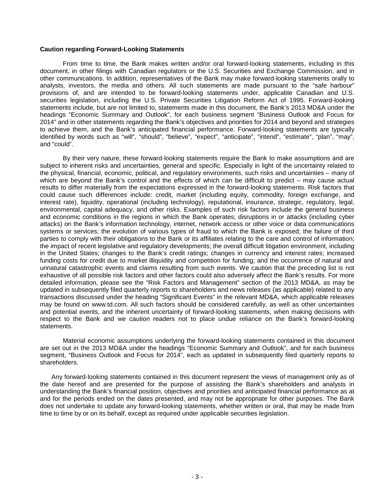# **Caution regarding Forward-Looking Statements**

From time to time, the Bank makes written and/or oral forward-looking statements, including in this document, in other filings with Canadian regulators or the U.S. Securities and Exchange Commission, and in other communications. In addition, representatives of the Bank may make forward-looking statements orally to analysts, investors, the media and others. All such statements are made pursuant to the "safe harbour" provisions of, and are intended to be forward-looking statements under, applicable Canadian and U.S. securities legislation, including the U.S. Private Securities Litigation Reform Act of 1995. Forward-looking statements include, but are not limited to, statements made in this document, the Bank's 2013 MD&A under the headings "Economic Summary and Outlook", for each business segment "Business Outlook and Focus for 2014" and in other statements regarding the Bank's objectives and priorities for 2014 and beyond and strategies to achieve them, and the Bank's anticipated financial performance. Forward-looking statements are typically identified by words such as "will", "should", "believe", "expect", "anticipate", "intend", "estimate", "plan", "may", and "could".

By their very nature, these forward-looking statements require the Bank to make assumptions and are subject to inherent risks and uncertainties, general and specific. Especially in light of the uncertainty related to the physical, financial, economic, political, and regulatory environments, such risks and uncertainties – many of which are beyond the Bank's control and the effects of which can be difficult to predict – may cause actual results to differ materially from the expectations expressed in the forward-looking statements. Risk factors that could cause such differences include: credit, market (including equity, commodity, foreign exchange, and interest rate), liquidity, operational (including technology), reputational, insurance, strategic, regulatory, legal, environmental, capital adequacy, and other risks. Examples of such risk factors include the general business and economic conditions in the regions in which the Bank operates; disruptions in or attacks (including cyber attacks) on the Bank's information technology, internet, network access or other voice or data communications systems or services; the evolution of various types of fraud to which the Bank is exposed; the failure of third parties to comply with their obligations to the Bank or its affiliates relating to the care and control of information; the impact of recent legislative and regulatory developments; the overall difficult litigation environment, including in the United States; changes to the Bank's credit ratings; changes in currency and interest rates; increased funding costs for credit due to market illiquidity and competition for funding; and the occurrence of natural and unnatural catastrophic events and claims resulting from such events. We caution that the preceding list is not exhaustive of all possible risk factors and other factors could also adversely affect the Bank's results. For more detailed information, please see the "Risk Factors and Management" section of the 2013 MD&A, as may be updated in subsequently filed quarterly reports to shareholders and news releases (as applicable) related to any transactions discussed under the heading "Significant Events" in the relevant MD&A, which applicable releases may be found on www.td.com. All such factors should be considered carefully, as well as other uncertainties and potential events, and the inherent uncertainty of forward-looking statements, when making decisions with respect to the Bank and we caution readers not to place undue reliance on the Bank's forward-looking statements.

Material economic assumptions underlying the forward-looking statements contained in this document are set out in the 2013 MD&A under the headings "Economic Summary and Outlook", and for each business segment, "Business Outlook and Focus for 2014", each as updated in subsequently filed quarterly reports to shareholders.

Any forward-looking statements contained in this document represent the views of management only as of the date hereof and are presented for the purpose of assisting the Bank's shareholders and analysts in understanding the Bank's financial position, objectives and priorities and anticipated financial performance as at and for the periods ended on the dates presented, and may not be appropriate for other purposes. The Bank does not undertake to update any forward-looking statements, whether written or oral, that may be made from time to time by or on its behalf, except as required under applicable securities legislation.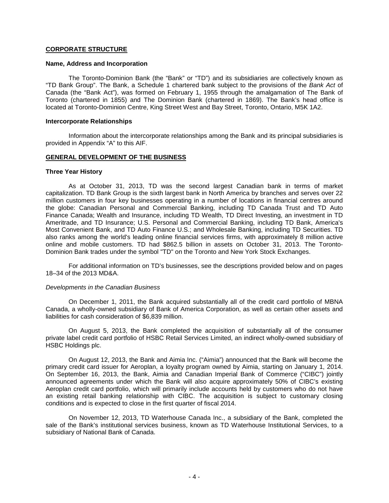# **CORPORATE STRUCTURE**

## **Name, Address and Incorporation**

The Toronto-Dominion Bank (the "Bank" or "TD") and its subsidiaries are collectively known as "TD Bank Group". The Bank, a Schedule 1 chartered bank subject to the provisions of the *Bank Act* of Canada (the "Bank Act"), was formed on February 1, 1955 through the amalgamation of The Bank of Toronto (chartered in 1855) and The Dominion Bank (chartered in 1869). The Bank's head office is located at Toronto-Dominion Centre, King Street West and Bay Street, Toronto, Ontario, M5K 1A2.

## **Intercorporate Relationships**

Information about the intercorporate relationships among the Bank and its principal subsidiaries is provided in Appendix "A" to this AIF.

# **GENERAL DEVELOPMENT OF THE BUSINESS**

## **Three Year History**

As at October 31, 2013, TD was the second largest Canadian bank in terms of market capitalization. TD Bank Group is the sixth largest bank in North America by branches and serves over 22 million customers in four key businesses operating in a number of locations in financial centres around the globe: Canadian Personal and Commercial Banking, including TD Canada Trust and TD Auto Finance Canada; Wealth and Insurance, including TD Wealth, TD Direct Investing, an investment in TD Ameritrade, and TD Insurance; U.S. Personal and Commercial Banking, including TD Bank, America's Most Convenient Bank, and TD Auto Finance U.S.; and Wholesale Banking, including TD Securities. TD also ranks among the world's leading online financial services firms, with approximately 8 million active online and mobile customers. TD had \$862.5 billion in assets on October 31, 2013. The Toronto-Dominion Bank trades under the symbol "TD" on the Toronto and New York Stock Exchanges.

For additional information on TD's businesses, see the descriptions provided below and on pages 18–34 of the 2013 MD&A.

#### *Developments in the Canadian Business*

On December 1, 2011, the Bank acquired substantially all of the credit card portfolio of MBNA Canada, a wholly-owned subsidiary of Bank of America Corporation, as well as certain other assets and liabilities for cash consideration of \$6,839 million.

On August 5, 2013, the Bank completed the acquisition of substantially all of the consumer private label credit card portfolio of HSBC Retail Services Limited, an indirect wholly-owned subsidiary of HSBC Holdings plc.

On August 12, 2013, the Bank and Aimia Inc. ("Aimia") announced that the Bank will become the primary credit card issuer for Aeroplan, a loyalty program owned by Aimia, starting on January 1, 2014. On September 16, 2013, the Bank, Aimia and Canadian Imperial Bank of Commerce ("CIBC") jointly announced agreements under which the Bank will also acquire approximately 50% of CIBC's existing Aeroplan credit card portfolio, which will primarily include accounts held by customers who do not have an existing retail banking relationship with CIBC. The acquisition is subject to customary closing conditions and is expected to close in the first quarter of fiscal 2014.

On November 12, 2013, TD Waterhouse Canada Inc., a subsidiary of the Bank, completed the sale of the Bank's institutional services business, known as TD Waterhouse Institutional Services, to a subsidiary of National Bank of Canada.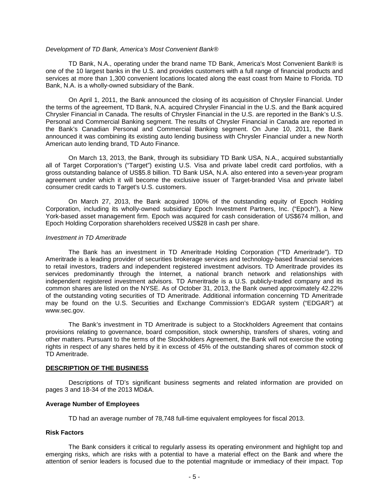#### *Development of TD Bank, America's Most Convenient Bank®*

TD Bank, N.A., operating under the brand name TD Bank, America's Most Convenient Bank® is one of the 10 largest banks in the U.S. and provides customers with a full range of financial products and services at more than 1,300 convenient locations located along the east coast from Maine to Florida. TD Bank, N.A. is a wholly-owned subsidiary of the Bank.

On April 1, 2011, the Bank announced the closing of its acquisition of Chrysler Financial. Under the terms of the agreement, TD Bank, N.A. acquired Chrysler Financial in the U.S. and the Bank acquired Chrysler Financial in Canada. The results of Chrysler Financial in the U.S. are reported in the Bank's U.S. Personal and Commercial Banking segment. The results of Chrysler Financial in Canada are reported in the Bank's Canadian Personal and Commercial Banking segment. On June 10, 2011, the Bank announced it was combining its existing auto lending business with Chrysler Financial under a new North American auto lending brand, TD Auto Finance.

On March 13, 2013, the Bank, through its subsidiary TD Bank USA, N.A., acquired substantially all of Target Corporation's ("Target") existing U.S. Visa and private label credit card portfolios, with a gross outstanding balance of US\$5.8 billion. TD Bank USA, N.A. also entered into a seven-year program agreement under which it will become the exclusive issuer of Target-branded Visa and private label consumer credit cards to Target's U.S. customers.

On March 27, 2013, the Bank acquired 100% of the outstanding equity of Epoch Holding Corporation, including its wholly-owned subsidiary Epoch Investment Partners, Inc. ("Epoch"), a New York-based asset management firm. Epoch was acquired for cash consideration of US\$674 million, and Epoch Holding Corporation shareholders received US\$28 in cash per share.

## *Investment in TD Ameritrade*

The Bank has an investment in TD Ameritrade Holding Corporation ("TD Ameritrade"). TD Ameritrade is a leading provider of securities brokerage services and technology-based financial services to retail investors, traders and independent registered investment advisors. TD Ameritrade provides its services predominantly through the Internet, a national branch network and relationships with independent registered investment advisors. TD Ameritrade is a U.S. publicly-traded company and its common shares are listed on the NYSE. As of October 31, 2013, the Bank owned approximately 42.22% of the outstanding voting securities of TD Ameritrade. Additional information concerning TD Ameritrade may be found on the U.S. Securities and Exchange Commission's EDGAR system ("EDGAR") at www.sec.gov.

The Bank's investment in TD Ameritrade is subject to a Stockholders Agreement that contains provisions relating to governance, board composition, stock ownership, transfers of shares, voting and other matters. Pursuant to the terms of the Stockholders Agreement, the Bank will not exercise the voting rights in respect of any shares held by it in excess of 45% of the outstanding shares of common stock of TD Ameritrade.

#### **DESCRIPTION OF THE BUSINESS**

Descriptions of TD's significant business segments and related information are provided on pages 3 and 18-34 of the 2013 MD&A.

# **Average Number of Employees**

TD had an average number of 78,748 full-time equivalent employees for fiscal 2013.

#### **Risk Factors**

The Bank considers it critical to regularly assess its operating environment and highlight top and emerging risks, which are risks with a potential to have a material effect on the Bank and where the attention of senior leaders is focused due to the potential magnitude or immediacy of their impact. Top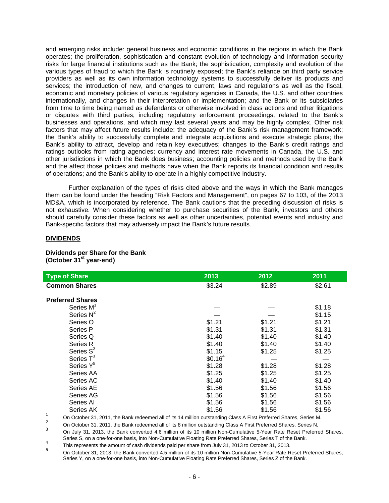and emerging risks include: general business and economic conditions in the regions in which the Bank operates; the proliferation, sophistication and constant evolution of technology and information security risks for large financial institutions such as the Bank; the sophistication, complexity and evolution of the various types of fraud to which the Bank is routinely exposed; the Bank's reliance on third party service providers as well as its own information technology systems to successfully deliver its products and services; the introduction of new, and changes to current, laws and regulations as well as the fiscal, economic and monetary policies of various regulatory agencies in Canada, the U.S. and other countries internationally, and changes in their interpretation or implementation; and the Bank or its subsidiaries from time to time being named as defendants or otherwise involved in class actions and other litigations or disputes with third parties, including regulatory enforcement proceedings, related to the Bank's businesses and operations, and which may last several years and may be highly complex. Other risk factors that may affect future results include: the adequacy of the Bank's risk management framework; the Bank's ability to successfully complete and integrate acquisitions and execute strategic plans; the Bank's ability to attract, develop and retain key executives; changes to the Bank's credit ratings and ratings outlooks from rating agencies; currency and interest rate movements in Canada, the U.S. and other jurisdictions in which the Bank does business; accounting policies and methods used by the Bank and the affect those policies and methods have when the Bank reports its financial condition and results of operations; and the Bank's ability to operate in a highly competitive industry.

Further explanation of the types of risks cited above and the ways in which the Bank manages them can be found under the heading "Risk Factors and Management", on pages 67 to 103, of the 2013 MD&A, which is incorporated by reference. The Bank cautions that the preceding discussion of risks is not exhaustive. When considering whether to purchase securities of the Bank, investors and others should carefully consider these factors as well as other uncertainties, potential events and industry and Bank-specific factors that may adversely impact the Bank's future results.

# **DIVIDENDS**

| <b>Type of Share</b>    | 2013                | 2012   | 2011   |
|-------------------------|---------------------|--------|--------|
| <b>Common Shares</b>    | \$3.24              | \$2.89 | \$2.61 |
|                         |                     |        |        |
| <b>Preferred Shares</b> |                     |        |        |
| Series M <sup>1</sup>   |                     |        | \$1.18 |
| Series $N^2$            |                     |        | \$1.15 |
| Series O                | \$1.21              | \$1.21 | \$1.21 |
| Series P                | \$1.31              | \$1.31 | \$1.31 |
| Series Q                | \$1.40              | \$1.40 | \$1.40 |
| Series R                | \$1.40              | \$1.40 | \$1.40 |
| Series S <sup>3</sup>   | \$1.15              | \$1.25 | \$1.25 |
| Series $T^3$            | \$0.16 <sup>4</sup> |        |        |
| Series Y <sup>5</sup>   | \$1.28              | \$1.28 | \$1.28 |
| Series AA               | \$1.25              | \$1.25 | \$1.25 |
| Series AC               | \$1.40              | \$1.40 | \$1.40 |
| Series AE               | \$1.56              | \$1.56 | \$1.56 |
| Series AG               | \$1.56              | \$1.56 | \$1.56 |
| Series Al               | \$1.56              | \$1.56 | \$1.56 |
| Series AK               | \$1.56              | \$1.56 | \$1.56 |

# **Dividends per Share for the Bank (October 31st year-end)**

<sup>1</sup> On October 31, 2011, the Bank redeemed all of its 14 million outstanding Class A First Preferred Shares, Series M.

<sup>2</sup> On October 31, 2011, the Bank redeemed all of its 8 million outstanding Class A First Preferred Shares, Series N.

<sup>3</sup> On July 31, 2013, the Bank converted 4.6 million of its 10 million Non-Cumulative 5-Year Rate Reset Preferred Shares, Series S, on a one-for-one basis, into Non-Cumulative Floating Rate Preferred Shares, Series T of the Bank.

This represents the amount of cash dividends paid per share from July 31, 2013 to October 31, 2013.

<sup>5</sup> On October 31, 2013, the Bank converted 4.5 million of its 10 million Non-Cumulative 5-Year Rate Reset Preferred Shares, Series Y, on a one-for-one basis, into Non-Cumulative Floating Rate Preferred Shares, Series Z of the Bank.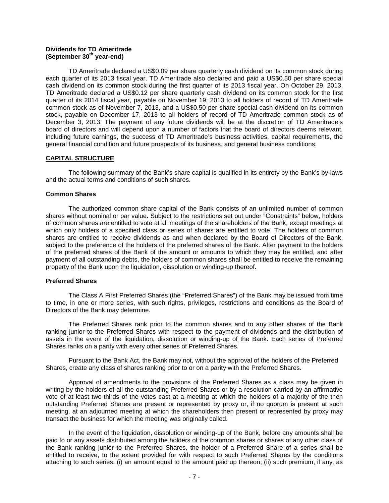# **Dividends for TD Ameritrade (September 30th year-end)**

TD Ameritrade declared a US\$0.09 per share quarterly cash dividend on its common stock during each quarter of its 2013 fiscal year. TD Ameritrade also declared and paid a US\$0.50 per share special cash dividend on its common stock during the first quarter of its 2013 fiscal year. On October 29, 2013, TD Ameritrade declared a US\$0.12 per share quarterly cash dividend on its common stock for the first quarter of its 2014 fiscal year, payable on November 19, 2013 to all holders of record of TD Ameritrade common stock as of November 7, 2013, and a US\$0.50 per share special cash dividend on its common stock, payable on December 17, 2013 to all holders of record of TD Ameritrade common stock as of December 3, 2013. The payment of any future dividends will be at the discretion of TD Ameritrade's board of directors and will depend upon a number of factors that the board of directors deems relevant, including future earnings, the success of TD Ameritrade's business activities, capital requirements, the general financial condition and future prospects of its business, and general business conditions.

# **CAPITAL STRUCTURE**

The following summary of the Bank's share capital is qualified in its entirety by the Bank's by-laws and the actual terms and conditions of such shares.

# **Common Shares**

The authorized common share capital of the Bank consists of an unlimited number of common shares without nominal or par value. Subject to the restrictions set out under "Constraints" below, holders of common shares are entitled to vote at all meetings of the shareholders of the Bank, except meetings at which only holders of a specified class or series of shares are entitled to vote. The holders of common shares are entitled to receive dividends as and when declared by the Board of Directors of the Bank, subject to the preference of the holders of the preferred shares of the Bank. After payment to the holders of the preferred shares of the Bank of the amount or amounts to which they may be entitled, and after payment of all outstanding debts, the holders of common shares shall be entitled to receive the remaining property of the Bank upon the liquidation, dissolution or winding-up thereof.

# **Preferred Shares**

The Class A First Preferred Shares (the "Preferred Shares") of the Bank may be issued from time to time, in one or more series, with such rights, privileges, restrictions and conditions as the Board of Directors of the Bank may determine.

The Preferred Shares rank prior to the common shares and to any other shares of the Bank ranking junior to the Preferred Shares with respect to the payment of dividends and the distribution of assets in the event of the liquidation, dissolution or winding-up of the Bank. Each series of Preferred Shares ranks on a parity with every other series of Preferred Shares.

Pursuant to the Bank Act, the Bank may not, without the approval of the holders of the Preferred Shares, create any class of shares ranking prior to or on a parity with the Preferred Shares.

Approval of amendments to the provisions of the Preferred Shares as a class may be given in writing by the holders of all the outstanding Preferred Shares or by a resolution carried by an affirmative vote of at least two-thirds of the votes cast at a meeting at which the holders of a majority of the then outstanding Preferred Shares are present or represented by proxy or, if no quorum is present at such meeting, at an adjourned meeting at which the shareholders then present or represented by proxy may transact the business for which the meeting was originally called.

In the event of the liquidation, dissolution or winding-up of the Bank, before any amounts shall be paid to or any assets distributed among the holders of the common shares or shares of any other class of the Bank ranking junior to the Preferred Shares, the holder of a Preferred Share of a series shall be entitled to receive, to the extent provided for with respect to such Preferred Shares by the conditions attaching to such series: (i) an amount equal to the amount paid up thereon; (ii) such premium, if any, as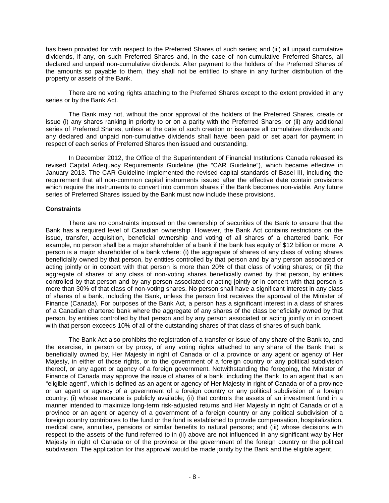has been provided for with respect to the Preferred Shares of such series; and (iii) all unpaid cumulative dividends, if any, on such Preferred Shares and, in the case of non-cumulative Preferred Shares, all declared and unpaid non-cumulative dividends. After payment to the holders of the Preferred Shares of the amounts so payable to them, they shall not be entitled to share in any further distribution of the property or assets of the Bank.

There are no voting rights attaching to the Preferred Shares except to the extent provided in any series or by the Bank Act.

The Bank may not, without the prior approval of the holders of the Preferred Shares, create or issue (i) any shares ranking in priority to or on a parity with the Preferred Shares; or (ii) any additional series of Preferred Shares, unless at the date of such creation or issuance all cumulative dividends and any declared and unpaid non-cumulative dividends shall have been paid or set apart for payment in respect of each series of Preferred Shares then issued and outstanding.

In December 2012, the Office of the Superintendent of Financial Institutions Canada released its revised Capital Adequacy Requirements Guideline (the "CAR Guideline"), which became effective in January 2013. The CAR Guideline implemented the revised capital standards of Basel III, including the requirement that all non-common capital instruments issued after the effective date contain provisions which require the instruments to convert into common shares if the Bank becomes non-viable. Any future series of Preferred Shares issued by the Bank must now include these provisions.

# **Constraints**

There are no constraints imposed on the ownership of securities of the Bank to ensure that the Bank has a required level of Canadian ownership. However, the Bank Act contains restrictions on the issue, transfer, acquisition, beneficial ownership and voting of all shares of a chartered bank. For example, no person shall be a major shareholder of a bank if the bank has equity of \$12 billion or more. A person is a major shareholder of a bank where: (i) the aggregate of shares of any class of voting shares beneficially owned by that person, by entities controlled by that person and by any person associated or acting jointly or in concert with that person is more than 20% of that class of voting shares; or (ii) the aggregate of shares of any class of non-voting shares beneficially owned by that person, by entities controlled by that person and by any person associated or acting jointly or in concert with that person is more than 30% of that class of non-voting shares. No person shall have a significant interest in any class of shares of a bank, including the Bank, unless the person first receives the approval of the Minister of Finance (Canada). For purposes of the Bank Act, a person has a significant interest in a class of shares of a Canadian chartered bank where the aggregate of any shares of the class beneficially owned by that person, by entities controlled by that person and by any person associated or acting jointly or in concert with that person exceeds 10% of all of the outstanding shares of that class of shares of such bank.

The Bank Act also prohibits the registration of a transfer or issue of any share of the Bank to, and the exercise, in person or by proxy, of any voting rights attached to any share of the Bank that is beneficially owned by, Her Majesty in right of Canada or of a province or any agent or agency of Her Majesty, in either of those rights, or to the government of a foreign country or any political subdivision thereof, or any agent or agency of a foreign government. Notwithstanding the foregoing, the Minister of Finance of Canada may approve the issue of shares of a bank, including the Bank, to an agent that is an "eligible agent", which is defined as an agent or agency of Her Majesty in right of Canada or of a province or an agent or agency of a government of a foreign country or any political subdivision of a foreign country: (i) whose mandate is publicly available; (ii) that controls the assets of an investment fund in a manner intended to maximize long-term risk-adjusted returns and Her Majesty in right of Canada or of a province or an agent or agency of a government of a foreign country or any political subdivision of a foreign country contributes to the fund or the fund is established to provide compensation, hospitalization, medical care, annuities, pensions or similar benefits to natural persons; and (iii) whose decisions with respect to the assets of the fund referred to in (ii) above are not influenced in any significant way by Her Majesty in right of Canada or of the province or the government of the foreign country or the political subdivision. The application for this approval would be made jointly by the Bank and the eligible agent.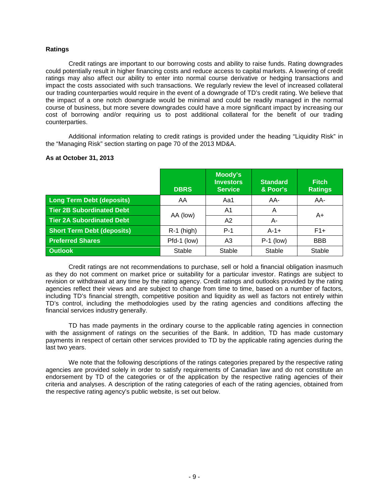# **Ratings**

Credit ratings are important to our borrowing costs and ability to raise funds. Rating downgrades could potentially result in higher financing costs and reduce access to capital markets. A lowering of credit ratings may also affect our ability to enter into normal course derivative or hedging transactions and impact the costs associated with such transactions. We regularly review the level of increased collateral our trading counterparties would require in the event of a downgrade of TD's credit rating. We believe that the impact of a one notch downgrade would be minimal and could be readily managed in the normal course of business, but more severe downgrades could have a more significant impact by increasing our cost of borrowing and/or requiring us to post additional collateral for the benefit of our trading counterparties.

Additional information relating to credit ratings is provided under the heading "Liquidity Risk" in the "Managing Risk" section starting on page 70 of the 2013 MD&A.

# **As at October 31, 2013**

|                                   | <b>DBRS</b>  | Moody's<br><b>Investors</b><br><b>Service</b> | Standard <sup>'</sup><br>& Poor's | <b>Fitch</b><br><b>Ratings</b> |
|-----------------------------------|--------------|-----------------------------------------------|-----------------------------------|--------------------------------|
| <b>Long Term Debt (deposits)</b>  | AA           | Aa1                                           | AA-                               | AA-                            |
| <b>Tier 2B Subordinated Debt</b>  |              | A1                                            | A                                 | A+                             |
| <b>Tier 2A Subordinated Debt</b>  | AA (low)     | A2                                            | А-                                |                                |
| <b>Short Term Debt (deposits)</b> | $R-1$ (high) | $P-1$                                         | $A - 1 +$                         | $F1+$                          |
| <b>Preferred Shares</b>           | Pfd-1 (low)  | A <sub>3</sub>                                | $P-1$ (low)                       | <b>BBB</b>                     |
| <b>Outlook</b>                    | Stable       | Stable                                        | Stable                            | Stable                         |

Credit ratings are not recommendations to purchase, sell or hold a financial obligation inasmuch as they do not comment on market price or suitability for a particular investor. Ratings are subject to revision or withdrawal at any time by the rating agency. Credit ratings and outlooks provided by the rating agencies reflect their views and are subject to change from time to time, based on a number of factors, including TD's financial strength, competitive position and liquidity as well as factors not entirely within TD's control, including the methodologies used by the rating agencies and conditions affecting the financial services industry generally.

TD has made payments in the ordinary course to the applicable rating agencies in connection with the assignment of ratings on the securities of the Bank. In addition, TD has made customary payments in respect of certain other services provided to TD by the applicable rating agencies during the last two years.

We note that the following descriptions of the ratings categories prepared by the respective rating agencies are provided solely in order to satisfy requirements of Canadian law and do not constitute an endorsement by TD of the categories or of the application by the respective rating agencies of their criteria and analyses. A description of the rating categories of each of the rating agencies, obtained from the respective rating agency's public website, is set out below.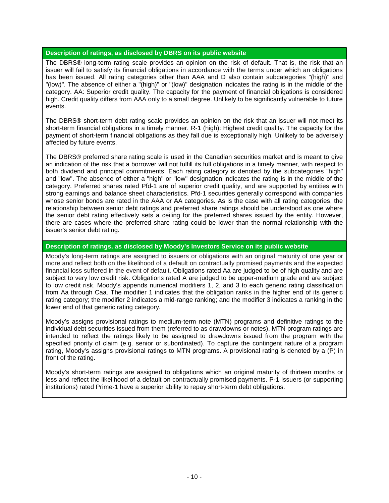# **Description of ratings, as disclosed by DBRS on its public website**

The DBRS® long-term rating scale provides an opinion on the risk of default. That is, the risk that an issuer will fail to satisfy its financial obligations in accordance with the terms under which an obligations has been issued. All rating categories other than AAA and D also contain subcategories "(high)" and "(low)". The absence of either a "(high)" or "(low)" designation indicates the rating is in the middle of the category. AA: Superior credit quality. The capacity for the payment of financial obligations is considered high. Credit quality differs from AAA only to a small degree. Unlikely to be significantly vulnerable to future events.

The DBRS® short-term debt rating scale provides an opinion on the risk that an issuer will not meet its short-term financial obligations in a timely manner. R-1 (high): Highest credit quality. The capacity for the payment of short-term financial obligations as they fall due is exceptionally high. Unlikely to be adversely affected by future events.

The DBRS® preferred share rating scale is used in the Canadian securities market and is meant to give an indication of the risk that a borrower will not fulfill its full obligations in a timely manner, with respect to both dividend and principal commitments. Each rating category is denoted by the subcategories "high" and "low". The absence of either a "high" or "low" designation indicates the rating is in the middle of the category. Preferred shares rated Pfd-1 are of superior credit quality, and are supported by entities with strong earnings and balance sheet characteristics. Pfd-1 securities generally correspond with companies whose senior bonds are rated in the AAA or AA categories. As is the case with all rating categories, the relationship between senior debt ratings and preferred share ratings should be understood as one where the senior debt rating effectively sets a ceiling for the preferred shares issued by the entity. However, there are cases where the preferred share rating could be lower than the normal relationship with the issuer's senior debt rating.

**Description of ratings, as disclosed by Moody's Investors Service on its public website**

Moody's long-term ratings are assigned to issuers or obligations with an original maturity of one year or more and reflect both on the likelihood of a default on contractually promised payments and the expected financial loss suffered in the event of default. Obligations rated Aa are judged to be of high quality and are subject to very low credit risk. Obligations rated A are judged to be upper-medium grade and are subject to low credit risk. Moody's appends numerical modifiers 1, 2, and 3 to each generic rating classification from Aa through Caa. The modifier 1 indicates that the obligation ranks in the higher end of its generic rating category; the modifier 2 indicates a mid-range ranking; and the modifier 3 indicates a ranking in the lower end of that generic rating category.

Moody's assigns provisional ratings to medium-term note (MTN) programs and definitive ratings to the individual debt securities issued from them (referred to as drawdowns or notes). MTN program ratings are intended to reflect the ratings likely to be assigned to drawdowns issued from the program with the specified priority of claim (e.g. senior or subordinated). To capture the contingent nature of a program rating, Moody's assigns provisional ratings to MTN programs. A provisional rating is denoted by a (P) in front of the rating.

Moody's short-term ratings are assigned to obligations which an original maturity of thirteen months or less and reflect the likelihood of a default on contractually promised payments. P-1 Issuers (or supporting institutions) rated Prime-1 have a superior ability to repay short-term debt obligations.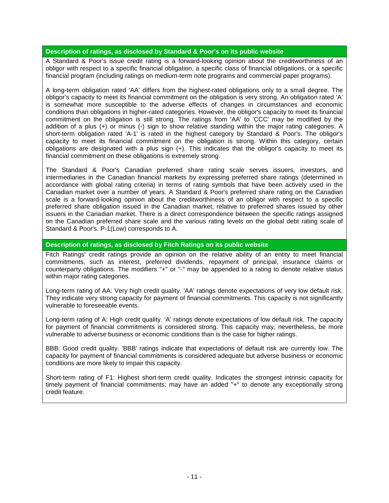# **Description of ratings, as disclosed by Standard & Poor's on its public website**

A Standard & Poor's issue credit rating is a forward-looking opinion about the creditworthiness of an obligor with respect to a specific financial obligation, a specific class of financial obligations, or a specific financial program (including ratings on medium-term note programs and commercial paper programs).

A long-term obligation rated 'AA' differs from the highest-rated obligations only to a small degree. The obligor's capacity to meet its financial commitment on the obligation is very strong. An obligation rated 'A' is somewhat more susceptible to the adverse effects of changes in circumstances and economic conditions than obligations in higher-rated categories. However, the obligor's capacity to meet its financial commitment on the obligation is still strong. The ratings from 'AA' to 'CCC' may be modified by the addition of a plus (+) or minus (-) sign to show relative standing within the major rating categories. A short-term obligation rated 'A-1' is rated in the highest category by Standard & Poor's. The obligor's capacity to meet its financial commitment on the obligation is strong. Within this category, certain obligations are designated with a plus sign (+). This indicates that the obligor's capacity to meet its financial commitment on these obligations is extremely strong.

The Standard & Poor's Canadian preferred share rating scale serves issuers, investors, and intermediaries in the Canadian financial markets by expressing preferred share ratings (determined in accordance with global rating criteria) in terms of rating symbols that have been actively used in the Canadian market over a number of years. A Standard & Poor's preferred share rating on the Canadian scale is a forward-looking opinion about the creditworthiness of an obligor with respect to a specific preferred share obligation issued in the Canadian market, relative to preferred shares issued by other issuers in the Canadian market. There is a direct correspondence between the specific ratings assigned on the Canadian preferred share scale and the various rating levels on the global debt rating scale of Standard & Poor's. P-1(Low) corresponds to A.

**Description of ratings, as disclosed by Fitch Ratings on its public website**

Fitch Ratings' credit ratings provide an opinion on the relative ability of an entity to meet financial commitments, such as interest, preferred dividends, repayment of principal, insurance claims or counterparty obligations. The modifiers "+" or "-" may be appended to a rating to denote relative status within major rating categories.

Long-term rating of AA: Very high credit quality. 'AA' ratings denote expectations of very low default risk. They indicate very strong capacity for payment of financial commitments. This capacity is not significantly vulnerable to foreseeable events.

Long-term rating of A: High credit quality. 'A' ratings denote expectations of low default risk. The capacity for payment of financial commitments is considered strong. This capacity may, nevertheless, be more vulnerable to adverse business or economic conditions than is the case for higher ratings.

BBB: Good credit quality. 'BBB' ratings indicate that expectations of default risk are currently low. The capacity for payment of financial commitments is considered adequate but adverse business or economic conditions are more likely to impair this capacity.

Short-term rating of F1: Highest short-term credit quality. Indicates the strongest intrinsic capacity for timely payment of financial commitments; may have an added "+" to denote any exceptionally strong credit feature.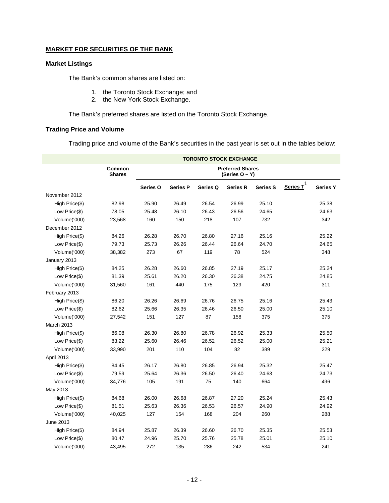# **MARKET FOR SECURITIES OF THE BANK**

# **Market Listings**

The Bank's common shares are listed on:

- 1. the Toronto Stock Exchange; and
- 2. the New York Stock Exchange.

The Bank's preferred shares are listed on the Toronto Stock Exchange.

# **Trading Price and Volume**

Trading price and volume of the Bank's securities in the past year is set out in the tables below:

|                   | <b>TORONTO STOCK EXCHANGE</b> |                                           |                 |          |                 |                 |                       |                 |
|-------------------|-------------------------------|-------------------------------------------|-----------------|----------|-----------------|-----------------|-----------------------|-----------------|
|                   | Common<br><b>Shares</b>       | <b>Preferred Shares</b><br>(Series O – Y) |                 |          |                 |                 |                       |                 |
|                   |                               | Series O                                  | <b>Series P</b> | Series Q | <b>Series R</b> | <b>Series S</b> | Series T <sup>1</sup> | <b>Series Y</b> |
| November 2012     |                               |                                           |                 |          |                 |                 |                       |                 |
| High Price(\$)    | 82.98                         | 25.90                                     | 26.49           | 26.54    | 26.99           | 25.10           |                       | 25.38           |
| Low Price(\$)     | 78.05                         | 25.48                                     | 26.10           | 26.43    | 26.56           | 24.65           |                       | 24.63           |
| Volume('000)      | 23,568                        | 160                                       | 150             | 218      | 107             | 732             |                       | 342             |
| December 2012     |                               |                                           |                 |          |                 |                 |                       |                 |
| High Price(\$)    | 84.26                         | 26.28                                     | 26.70           | 26.80    | 27.16           | 25.16           |                       | 25.22           |
| Low Price(\$)     | 79.73                         | 25.73                                     | 26.26           | 26.44    | 26.64           | 24.70           |                       | 24.65           |
| Volume('000)      | 38,382                        | 273                                       | 67              | 119      | 78              | 524             |                       | 348             |
| January 2013      |                               |                                           |                 |          |                 |                 |                       |                 |
| High Price(\$)    | 84.25                         | 26.28                                     | 26.60           | 26.85    | 27.19           | 25.17           |                       | 25.24           |
| Low Price(\$)     | 81.39                         | 25.61                                     | 26.20           | 26.30    | 26.38           | 24.75           |                       | 24.85           |
| Volume('000)      | 31,560                        | 161                                       | 440             | 175      | 129             | 420             |                       | 311             |
| February 2013     |                               |                                           |                 |          |                 |                 |                       |                 |
| High Price(\$)    | 86.20                         | 26.26                                     | 26.69           | 26.76    | 26.75           | 25.16           |                       | 25.43           |
| Low Price(\$)     | 82.62                         | 25.66                                     | 26.35           | 26.46    | 26.50           | 25.00           |                       | 25.10           |
| Volume('000)      | 27,542                        | 151                                       | 127             | 87       | 158             | 375             |                       | 375             |
| <b>March 2013</b> |                               |                                           |                 |          |                 |                 |                       |                 |
| High Price(\$)    | 86.08                         | 26.30                                     | 26.80           | 26.78    | 26.92           | 25.33           |                       | 25.50           |
| Low Price(\$)     | 83.22                         | 25.60                                     | 26.46           | 26.52    | 26.52           | 25.00           |                       | 25.21           |
| Volume('000)      | 33,990                        | 201                                       | 110             | 104      | 82              | 389             |                       | 229             |
| April 2013        |                               |                                           |                 |          |                 |                 |                       |                 |
| High Price(\$)    | 84.45                         | 26.17                                     | 26.80           | 26.85    | 26.94           | 25.32           |                       | 25.47           |
| Low Price(\$)     | 79.59                         | 25.64                                     | 26.36           | 26.50    | 26.40           | 24.63           |                       | 24.73           |
| Volume('000)      | 34,776                        | 105                                       | 191             | 75       | 140             | 664             |                       | 496             |
| May 2013          |                               |                                           |                 |          |                 |                 |                       |                 |
| High Price(\$)    | 84.68                         | 26.00                                     | 26.68           | 26.87    | 27.20           | 25.24           |                       | 25.43           |
| Low Price(\$)     | 81.51                         | 25.63                                     | 26.36           | 26.53    | 26.57           | 24.90           |                       | 24.92           |
| Volume('000)      | 40,025                        | 127                                       | 154             | 168      | 204             | 260             |                       | 288             |
| <b>June 2013</b>  |                               |                                           |                 |          |                 |                 |                       |                 |
| High Price(\$)    | 84.94                         | 25.87                                     | 26.39           | 26.60    | 26.70           | 25.35           |                       | 25.53           |
| Low Price(\$)     | 80.47                         | 24.96                                     | 25.70           | 25.76    | 25.78           | 25.01           |                       | 25.10           |
| Volume('000)      | 43,495                        | 272                                       | 135             | 286      | 242             | 534             |                       | 241             |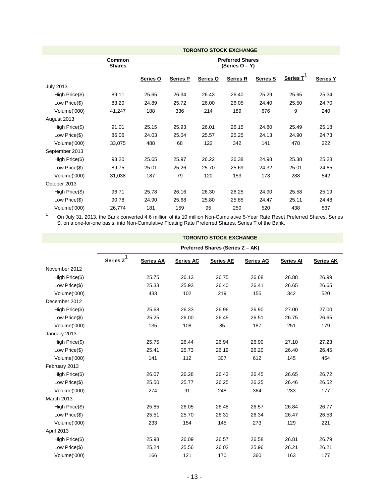|                  | <b>TORONTO STOCK EXCHANGE</b> |          |                                           |          |          |                 |                 |                 |
|------------------|-------------------------------|----------|-------------------------------------------|----------|----------|-----------------|-----------------|-----------------|
|                  | Common<br><b>Shares</b>       |          | <b>Preferred Shares</b><br>(Series O – Y) |          |          |                 |                 |                 |
|                  |                               | Series O | <b>Series P</b>                           | Series Q | Series R | <b>Series S</b> | <b>Series T</b> | <b>Series Y</b> |
| <b>July 2013</b> |                               |          |                                           |          |          |                 |                 |                 |
| High Price(\$)   | 89.11                         | 25.65    | 26.34                                     | 26.43    | 26.40    | 25.29           | 25.65           | 25.34           |
| Low Price(\$)    | 83.20                         | 24.89    | 25.72                                     | 26.00    | 26.05    | 24.40           | 25.50           | 24.70           |
| Volume('000)     | 41,247                        | 188      | 336                                       | 214      | 189      | 676             | 9               | 240             |
| August 2013      |                               |          |                                           |          |          |                 |                 |                 |
| High Price(\$)   | 91.01                         | 25.15    | 25.93                                     | 26.01    | 26.15    | 24.80           | 25.49           | 25.18           |
| Low Price(\$)    | 86.06                         | 24.03    | 25.04                                     | 25.57    | 25.25    | 24.13           | 24.90           | 24.73           |
| Volume('000)     | 33,075                        | 488      | 68                                        | 122      | 342      | 141             | 478             | 222             |
| September 2013   |                               |          |                                           |          |          |                 |                 |                 |
| High Price(\$)   | 93.20                         | 25.65    | 25.97                                     | 26.22    | 26.38    | 24.98           | 25.38           | 25.28           |
| Low Price(\$)    | 89.75                         | 25.01    | 25.26                                     | 25.70    | 25.69    | 24.32           | 25.01           | 24.85           |
| Volume('000)     | 31.038                        | 187      | 79                                        | 120      | 153      | 173             | 288             | 542             |
| October 2013     |                               |          |                                           |          |          |                 |                 |                 |
| High Price(\$)   | 96.71                         | 25.78    | 26.16                                     | 26.30    | 26.25    | 24.90           | 25.58           | 25.19           |
| Low Price(\$)    | 90.78                         | 24.90    | 25.68                                     | 25.80    | 25.85    | 24.47           | 25.11           | 24.48           |
| Volume('000)     | 26,774                        | 181      | 159                                       | 95       | 250      | 520             | 438             | 537             |

<sup>1</sup> On July 31, 2013, the Bank converted 4.6 million of its 10 million Non-Cumulative 5-Year Rate Reset Preferred Shares, Series S, on a one-for-one basis, into Non-Cumulative Floating Rate Preferred Shares, Series T of the Bank.

|                | <b>TORONTO STOCK EXCHANGE</b> |                                  |                  |                  |                  |                  |                  |  |  |
|----------------|-------------------------------|----------------------------------|------------------|------------------|------------------|------------------|------------------|--|--|
|                |                               | Preferred Shares (Series Z - AK) |                  |                  |                  |                  |                  |  |  |
|                | $Series Z^1$                  | <b>Series AA</b>                 | <b>Series AC</b> | <b>Series AE</b> | <b>Series AG</b> | <b>Series Al</b> | <b>Series AK</b> |  |  |
| November 2012  |                               |                                  |                  |                  |                  |                  |                  |  |  |
| High Price(\$) |                               | 25.75                            | 26.13            | 26.75            | 26.68            | 26.88            | 26.99            |  |  |
| Low Price(\$)  |                               | 25.33                            | 25.93            | 26.40            | 26.41            | 26.65            | 26.65            |  |  |
| Volume('000)   |                               | 433                              | 102              | 219              | 155              | 342              | 520              |  |  |
| December 2012  |                               |                                  |                  |                  |                  |                  |                  |  |  |
| High Price(\$) |                               | 25.68                            | 26.33            | 26.96            | 26.90            | 27.00            | 27.00            |  |  |
| Low Price(\$)  |                               | 25.25                            | 26.00            | 26.45            | 26.51            | 26.75            | 26.65            |  |  |
| Volume('000)   |                               | 135                              | 108              | 85               | 187              | 251              | 179              |  |  |
| January 2013   |                               |                                  |                  |                  |                  |                  |                  |  |  |
| High Price(\$) |                               | 25.75                            | 26.44            | 26.94            | 26.90            | 27.10            | 27.23            |  |  |
| Low Price(\$)  |                               | 25.41                            | 25.73            | 26.19            | 26.20            | 26.40            | 26.45            |  |  |
| Volume('000)   |                               | 141                              | 112              | 307              | 612              | 145              | 464              |  |  |
| February 2013  |                               |                                  |                  |                  |                  |                  |                  |  |  |
| High Price(\$) |                               | 26.07                            | 26.28            | 26.43            | 26.45            | 26.65            | 26.72            |  |  |
| Low Price(\$)  |                               | 25.50                            | 25.77            | 26.25            | 26.25            | 26.46            | 26.52            |  |  |
| Volume('000)   |                               | 274                              | 91               | 248              | 364              | 233              | 177              |  |  |
| March 2013     |                               |                                  |                  |                  |                  |                  |                  |  |  |
| High Price(\$) |                               | 25.85                            | 26.05            | 26.48            | 26.57            | 26.84            | 26.77            |  |  |
| Low Price(\$)  |                               | 25.51                            | 25.70            | 26.31            | 26.34            | 26.47            | 26.53            |  |  |
| Volume('000)   |                               | 233                              | 154              | 145              | 273              | 129              | 221              |  |  |
| April 2013     |                               |                                  |                  |                  |                  |                  |                  |  |  |
| High Price(\$) |                               | 25.98                            | 26.09            | 26.57            | 26.58            | 26.81            | 26.79            |  |  |
| Low Price(\$)  |                               | 25.24                            | 25.56            | 26.02            | 25.96            | 26.21            | 26.21            |  |  |
| Volume('000)   |                               | 166                              | 121              | 170              | 360              | 163              | 177              |  |  |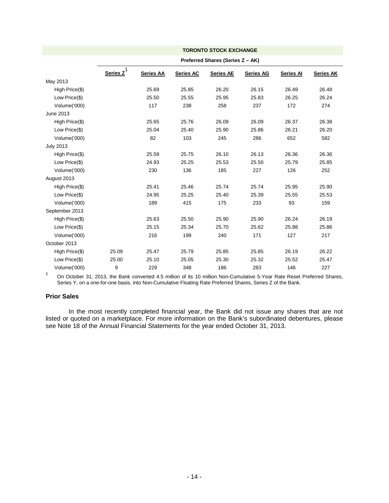|                  | <b>TORONTO STOCK EXCHANGE</b> |                                  |                  |                  |                  |                  |                  |  |
|------------------|-------------------------------|----------------------------------|------------------|------------------|------------------|------------------|------------------|--|
|                  |                               | Preferred Shares (Series Z - AK) |                  |                  |                  |                  |                  |  |
|                  | Series Z                      | <b>Series AA</b>                 | <b>Series AC</b> | <b>Series AE</b> | <b>Series AG</b> | <b>Series Al</b> | <b>Series AK</b> |  |
| May 2013         |                               |                                  |                  |                  |                  |                  |                  |  |
| High Price(\$)   |                               | 25.69                            | 25.85            | 26.20            | 26.15            | 26.49            | 26.48            |  |
| Low Price(\$)    |                               | 25.50                            | 25.55            | 25.95            | 25.83            | 26.25            | 26.24            |  |
| Volume('000)     |                               | 117                              | 238              | 258              | 237              | 172              | 274              |  |
| June 2013        |                               |                                  |                  |                  |                  |                  |                  |  |
| High Price(\$)   |                               | 25.65                            | 25.76            | 26.09            | 26.09            | 26.37            | 26.38            |  |
| Low Price(\$)    |                               | 25.04                            | 25.40            | 25.90            | 25.86            | 26.21            | 26.20            |  |
| Volume('000)     |                               | 82                               | 103              | 245              | 286              | 652              | 582              |  |
| <b>July 2013</b> |                               |                                  |                  |                  |                  |                  |                  |  |
| High Price(\$)   |                               | 25.59                            | 25.75            | 26.10            | 26.13            | 26.36            | 26.36            |  |
| Low Price(\$)    |                               | 24.93                            | 25.25            | 25.53            | 25.50            | 25.79            | 25.85            |  |
| Volume('000)     |                               | 230                              | 136              | 185              | 227              | 126              | 252              |  |
| August 2013      |                               |                                  |                  |                  |                  |                  |                  |  |
| High Price(\$)   |                               | 25.41                            | 25.46            | 25.74            | 25.74            | 25.95            | 25.90            |  |
| Low Price(\$)    |                               | 24.95                            | 25.25            | 25.40            | 25.39            | 25.55            | 25.53            |  |
| Volume('000)     |                               | 189                              | 415              | 175              | 233              | 93               | 159              |  |
| September 2013   |                               |                                  |                  |                  |                  |                  |                  |  |
| High Price(\$)   |                               | 25.63                            | 25.50            | 25.90            | 25.90            | 26.24            | 26.19            |  |
| Low Price(\$)    |                               | 25.15                            | 25.34            | 25.70            | 25.62            | 25.88            | 25.86            |  |
| Volume('000)     |                               | 216                              | 199              | 240              | 171              | 127              | 217              |  |
| October 2013     |                               |                                  |                  |                  |                  |                  |                  |  |
| High Price(\$)   | 25.09                         | 25.47                            | 25.79            | 25.85            | 25.85            | 26.19            | 26.22            |  |
| Low Price(\$)    | 25.00                         | 25.10                            | 25.05            | 25.30            | 25.32            | 25.52            | 25.47            |  |
| Volume('000)     | 9                             | 229                              | 348              | 186              | 283              | 146              | 227              |  |

<sup>1</sup> On October 31, 2013, the Bank converted 4.5 million of its 10 million Non-Cumulative 5-Year Rate Reset Preferred Shares, Series Y, on a one-for-one basis, into Non-Cumulative Floating Rate Preferred Shares, Series Z of the Bank.

# **Prior Sales**

In the most recently completed financial year, the Bank did not issue any shares that are not listed or quoted on a marketplace. For more information on the Bank's subordinated debentures, please see Note 18 of the Annual Financial Statements for the year ended October 31, 2013.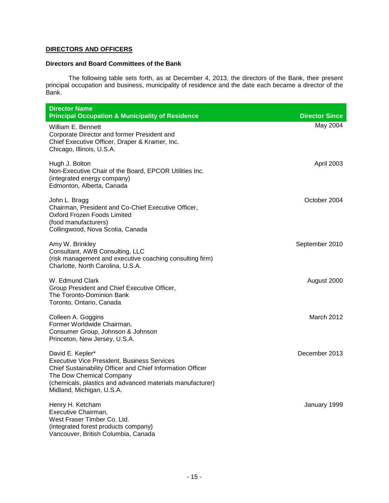# **DIRECTORS AND OFFICERS**

# **Directors and Board Committees of the Bank**

Vancouver, British Columbia, Canada

The following table sets forth, as at December 4, 2013, the directors of the Bank, their present principal occupation and business, municipality of residence and the date each became a director of the Bank.

| <b>Director Name</b><br><b>Principal Occupation &amp; Municipality of Residence</b>                                                                                                                                                                        | <b>Director Since</b> |
|------------------------------------------------------------------------------------------------------------------------------------------------------------------------------------------------------------------------------------------------------------|-----------------------|
| William E. Bennett<br>Corporate Director and former President and<br>Chief Executive Officer, Draper & Kramer, Inc.<br>Chicago, Illinois, U.S.A.                                                                                                           | May 2004              |
| Hugh J. Bolton<br>Non-Executive Chair of the Board, EPCOR Utilities Inc.<br>(integrated energy company)<br>Edmonton, Alberta, Canada                                                                                                                       | April 2003            |
| John L. Bragg<br>Chairman, President and Co-Chief Executive Officer,<br>Oxford Frozen Foods Limited<br>(food manufacturers)<br>Collingwood, Nova Scotia, Canada                                                                                            | October 2004          |
| Amy W. Brinkley<br>Consultant, AWB Consulting, LLC<br>(risk management and executive coaching consulting firm)<br>Charlotte, North Carolina, U.S.A.                                                                                                        | September 2010        |
| W. Edmund Clark<br>Group President and Chief Executive Officer,<br>The Toronto-Dominion Bank<br>Toronto, Ontario, Canada                                                                                                                                   | August 2000           |
| Colleen A. Goggins<br>Former Worldwide Chairman,<br>Consumer Group, Johnson & Johnson<br>Princeton, New Jersey, U.S.A.                                                                                                                                     | March 2012            |
| David E. Kepler*<br><b>Executive Vice President, Business Services</b><br>Chief Sustainability Officer and Chief Information Officer<br>The Dow Chemical Company<br>(chemicals, plastics and advanced materials manufacturer)<br>Midland, Michigan, U.S.A. | December 2013         |
| Henry H. Ketcham<br>Executive Chairman,<br>West Fraser Timber Co. Ltd.<br>(integrated forest products company)                                                                                                                                             | January 1999          |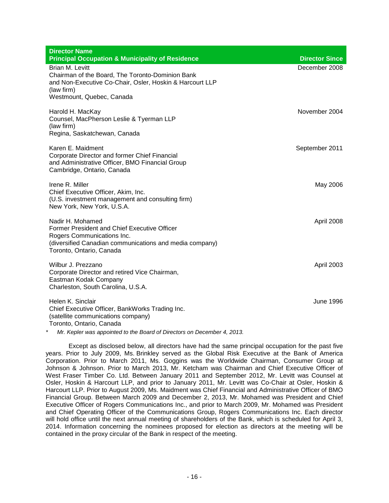| <b>Director Name</b>                                                                                                                                                                                                                             |                                        |
|--------------------------------------------------------------------------------------------------------------------------------------------------------------------------------------------------------------------------------------------------|----------------------------------------|
| <b>Principal Occupation &amp; Municipality of Residence</b><br><b>Brian M. Levitt</b><br>Chairman of the Board, The Toronto-Dominion Bank<br>and Non-Executive Co-Chair, Osler, Hoskin & Harcourt LLP<br>(law firm)<br>Westmount, Quebec, Canada | <b>Director Since</b><br>December 2008 |
| Harold H. MacKay<br>Counsel, MacPherson Leslie & Tyerman LLP<br>(law firm)<br>Regina, Saskatchewan, Canada                                                                                                                                       | November 2004                          |
| Karen E. Maidment<br>Corporate Director and former Chief Financial<br>and Administrative Officer, BMO Financial Group<br>Cambridge, Ontario, Canada                                                                                              | September 2011                         |
| Irene R. Miller<br>Chief Executive Officer, Akim, Inc.<br>(U.S. investment management and consulting firm)<br>New York, New York, U.S.A.                                                                                                         | May 2006                               |
| Nadir H. Mohamed<br>Former President and Chief Executive Officer<br>Rogers Communications Inc.<br>(diversified Canadian communications and media company)<br>Toronto, Ontario, Canada                                                            | April 2008                             |
| Wilbur J. Prezzano<br>Corporate Director and retired Vice Chairman,<br>Eastman Kodak Company<br>Charleston, South Carolina, U.S.A.                                                                                                               | <b>April 2003</b>                      |
| Helen K. Sinclair<br>Chief Executive Officer, BankWorks Trading Inc.<br>(satellite communications company)<br>Toronto, Ontario, Canada<br>Mr. Kepler was appointed to the Board of Directors on December 4, 2013.                                | <b>June 1996</b>                       |

Except as disclosed below, all directors have had the same principal occupation for the past five years. Prior to July 2009, Ms. Brinkley served as the Global Risk Executive at the Bank of America Corporation. Prior to March 2011, Ms. Goggins was the Worldwide Chairman, Consumer Group at Johnson & Johnson. Prior to March 2013, Mr. Ketcham was Chairman and Chief Executive Officer of West Fraser Timber Co. Ltd. Between January 2011 and September 2012, Mr. Levitt was Counsel at Osler, Hoskin & Harcourt LLP, and prior to January 2011, Mr. Levitt was Co-Chair at Osler, Hoskin & Harcourt LLP. Prior to August 2009, Ms. Maidment was Chief Financial and Administrative Officer of BMO Financial Group. Between March 2009 and December 2, 2013, Mr. Mohamed was President and Chief Executive Officer of Rogers Communications Inc., and prior to March 2009, Mr. Mohamed was President and Chief Operating Officer of the Communications Group, Rogers Communications Inc. Each director will hold office until the next annual meeting of shareholders of the Bank, which is scheduled for April 3, 2014. Information concerning the nominees proposed for election as directors at the meeting will be contained in the proxy circular of the Bank in respect of the meeting.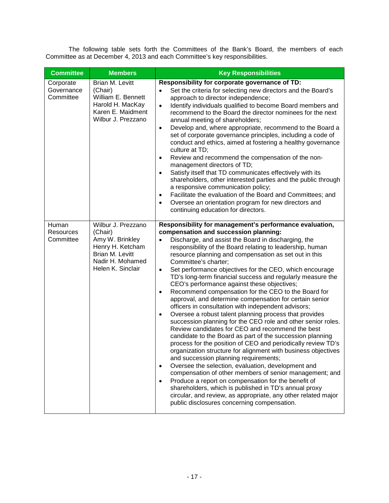The following table sets forth the Committees of the Bank's Board, the members of each Committee as at December 4, 2013 and each Committee's key responsibilities.

| <b>Committee</b>                     | <b>Members</b>                                                                                                                   | <b>Key Responsibilities</b>                                                                                                                                                                                                                                                                                                                                                                                                                                                                                                                                                                                                                                                                                                                                                                                                                                                                                                                                                                                                                                                                                                                                                                                                                                                                                                                                                                                                                                                                   |
|--------------------------------------|----------------------------------------------------------------------------------------------------------------------------------|-----------------------------------------------------------------------------------------------------------------------------------------------------------------------------------------------------------------------------------------------------------------------------------------------------------------------------------------------------------------------------------------------------------------------------------------------------------------------------------------------------------------------------------------------------------------------------------------------------------------------------------------------------------------------------------------------------------------------------------------------------------------------------------------------------------------------------------------------------------------------------------------------------------------------------------------------------------------------------------------------------------------------------------------------------------------------------------------------------------------------------------------------------------------------------------------------------------------------------------------------------------------------------------------------------------------------------------------------------------------------------------------------------------------------------------------------------------------------------------------------|
| Corporate<br>Governance<br>Committee | Brian M. Levitt<br>(Chair)<br>William E. Bennett<br>Harold H. MacKay<br>Karen E. Maidment<br>Wilbur J. Prezzano                  | Responsibility for corporate governance of TD:<br>Set the criteria for selecting new directors and the Board's<br>$\bullet$<br>approach to director independence;<br>Identify individuals qualified to become Board members and<br>$\bullet$<br>recommend to the Board the director nominees for the next<br>annual meeting of shareholders;<br>Develop and, where appropriate, recommend to the Board a<br>$\bullet$<br>set of corporate governance principles, including a code of<br>conduct and ethics, aimed at fostering a healthy governance<br>culture at TD;<br>Review and recommend the compensation of the non-<br>$\bullet$<br>management directors of TD;<br>Satisfy itself that TD communicates effectively with its<br>$\bullet$<br>shareholders, other interested parties and the public through<br>a responsive communication policy;<br>Facilitate the evaluation of the Board and Committees; and<br>$\bullet$<br>Oversee an orientation program for new directors and<br>$\bullet$<br>continuing education for directors.                                                                                                                                                                                                                                                                                                                                                                                                                                                 |
| Human<br>Resources<br>Committee      | Wilbur J. Prezzano<br>(Chair)<br>Amy W. Brinkley<br>Henry H. Ketcham<br>Brian M. Levitt<br>Nadir H. Mohamed<br>Helen K. Sinclair | Responsibility for management's performance evaluation,<br>compensation and succession planning:<br>Discharge, and assist the Board in discharging, the<br>responsibility of the Board relating to leadership, human<br>resource planning and compensation as set out in this<br>Committee's charter;<br>Set performance objectives for the CEO, which encourage<br>$\bullet$<br>TD's long-term financial success and regularly measure the<br>CEO's performance against these objectives;<br>Recommend compensation for the CEO to the Board for<br>$\bullet$<br>approval, and determine compensation for certain senior<br>officers in consultation with independent advisors;<br>Oversee a robust talent planning process that provides<br>$\bullet$<br>succession planning for the CEO role and other senior roles.<br>Review candidates for CEO and recommend the best<br>candidate to the Board as part of the succession planning<br>process for the position of CEO and periodically review TD's<br>organization structure for alignment with business objectives<br>and succession planning requirements;<br>Oversee the selection, evaluation, development and<br>$\bullet$<br>compensation of other members of senior management; and<br>Produce a report on compensation for the benefit of<br>$\bullet$<br>shareholders, which is published in TD's annual proxy<br>circular, and review, as appropriate, any other related major<br>public disclosures concerning compensation. |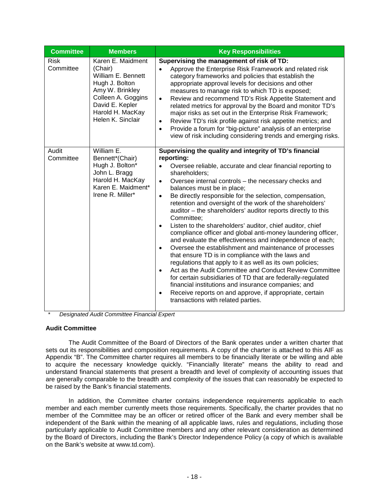| <b>Committee</b>         | <b>Members</b>                                                                                                                                                            | <b>Key Responsibilities</b>                                                                                                                                                                                                                                                                                                                                                                                                                                                                                                                                                                                                                                                                                                                                                                                                                                                                                                                                                                                                                                                                                                                                                            |
|--------------------------|---------------------------------------------------------------------------------------------------------------------------------------------------------------------------|----------------------------------------------------------------------------------------------------------------------------------------------------------------------------------------------------------------------------------------------------------------------------------------------------------------------------------------------------------------------------------------------------------------------------------------------------------------------------------------------------------------------------------------------------------------------------------------------------------------------------------------------------------------------------------------------------------------------------------------------------------------------------------------------------------------------------------------------------------------------------------------------------------------------------------------------------------------------------------------------------------------------------------------------------------------------------------------------------------------------------------------------------------------------------------------|
| <b>Risk</b><br>Committee | Karen E. Maidment<br>(Chair)<br>William E. Bennett<br>Hugh J. Bolton<br>Amy W. Brinkley<br>Colleen A. Goggins<br>David E. Kepler<br>Harold H. MacKay<br>Helen K. Sinclair | Supervising the management of risk of TD:<br>Approve the Enterprise Risk Framework and related risk<br>category frameworks and policies that establish the<br>appropriate approval levels for decisions and other<br>measures to manage risk to which TD is exposed;<br>Review and recommend TD's Risk Appetite Statement and<br>$\bullet$<br>related metrics for approval by the Board and monitor TD's<br>major risks as set out in the Enterprise Risk Framework;<br>Review TD's risk profile against risk appetite metrics; and<br>$\bullet$<br>Provide a forum for "big-picture" analysis of an enterprise<br>$\bullet$<br>view of risk including considering trends and emerging risks.                                                                                                                                                                                                                                                                                                                                                                                                                                                                                          |
| Audit<br>Committee       | William E.<br>Bennett*(Chair)<br>Hugh J. Bolton*<br>John L. Bragg<br>Harold H. MacKay<br>Karen E. Maidment*<br>Irene R. Miller*                                           | Supervising the quality and integrity of TD's financial<br>reporting:<br>Oversee reliable, accurate and clear financial reporting to<br>$\bullet$<br>shareholders;<br>Oversee internal controls - the necessary checks and<br>$\bullet$<br>balances must be in place;<br>Be directly responsible for the selection, compensation,<br>$\bullet$<br>retention and oversight of the work of the shareholders'<br>auditor - the shareholders' auditor reports directly to this<br>Committee;<br>Listen to the shareholders' auditor, chief auditor, chief<br>$\bullet$<br>compliance officer and global anti-money laundering officer,<br>and evaluate the effectiveness and independence of each;<br>Oversee the establishment and maintenance of processes<br>$\bullet$<br>that ensure TD is in compliance with the laws and<br>regulations that apply to it as well as its own policies;<br>Act as the Audit Committee and Conduct Review Committee<br>for certain subsidiaries of TD that are federally-regulated<br>financial institutions and insurance companies; and<br>Receive reports on and approve, if appropriate, certain<br>$\bullet$<br>transactions with related parties. |

*\* Designated Audit Committee Financial Expert*

# **Audit Committee**

The Audit Committee of the Board of Directors of the Bank operates under a written charter that sets out its responsibilities and composition requirements. A copy of the charter is attached to this AIF as Appendix "B". The Committee charter requires all members to be financially literate or be willing and able to acquire the necessary knowledge quickly. "Financially literate" means the ability to read and understand financial statements that present a breadth and level of complexity of accounting issues that are generally comparable to the breadth and complexity of the issues that can reasonably be expected to be raised by the Bank's financial statements.

In addition, the Committee charter contains independence requirements applicable to each member and each member currently meets those requirements. Specifically, the charter provides that no member of the Committee may be an officer or retired officer of the Bank and every member shall be independent of the Bank within the meaning of all applicable laws, rules and regulations, including those particularly applicable to Audit Committee members and any other relevant consideration as determined by the Board of Directors, including the Bank's Director Independence Policy (a copy of which is available on the Bank's website at www.td.com).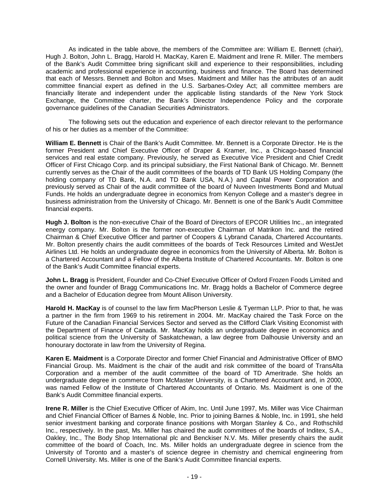As indicated in the table above, the members of the Committee are: William E. Bennett (chair), Hugh J. Bolton, John L. Bragg, Harold H. MacKay, Karen E. Maidment and Irene R. Miller. The members of the Bank's Audit Committee bring significant skill and experience to their responsibilities, including academic and professional experience in accounting, business and finance. The Board has determined that each of Messrs. Bennett and Bolton and Mses. Maidment and Miller has the attributes of an audit committee financial expert as defined in the U.S. Sarbanes-Oxley Act; all committee members are financially literate and independent under the applicable listing standards of the New York Stock Exchange, the Committee charter, the Bank's Director Independence Policy and the corporate governance guidelines of the Canadian Securities Administrators.

The following sets out the education and experience of each director relevant to the performance of his or her duties as a member of the Committee:

**William E. Bennett** is Chair of the Bank's Audit Committee. Mr. Bennett is a Corporate Director. He is the former President and Chief Executive Officer of Draper & Kramer, Inc., a Chicago-based financial services and real estate company. Previously, he served as Executive Vice President and Chief Credit Officer of First Chicago Corp. and its principal subsidiary, the First National Bank of Chicago. Mr. Bennett currently serves as the Chair of the audit committees of the boards of TD Bank US Holding Company (the holding company of TD Bank, N.A. and TD Bank USA, N.A.) and Capital Power Corporation and previously served as Chair of the audit committee of the board of Nuveen Investments Bond and Mutual Funds. He holds an undergraduate degree in economics from Kenyon College and a master's degree in business administration from the University of Chicago. Mr. Bennett is one of the Bank's Audit Committee financial experts.

**Hugh J. Bolton** is the non-executive Chair of the Board of Directors of EPCOR Utilities Inc., an integrated energy company. Mr. Bolton is the former non-executive Chairman of Matrikon Inc. and the retired Chairman & Chief Executive Officer and partner of Coopers & Lybrand Canada, Chartered Accountants. Mr. Bolton presently chairs the audit committees of the boards of Teck Resources Limited and WestJet Airlines Ltd. He holds an undergraduate degree in economics from the University of Alberta. Mr. Bolton is a Chartered Accountant and a Fellow of the Alberta Institute of Chartered Accountants. Mr. Bolton is one of the Bank's Audit Committee financial experts.

**John L. Bragg** is President, Founder and Co-Chief Executive Officer of Oxford Frozen Foods Limited and the owner and founder of Bragg Communications Inc. Mr. Bragg holds a Bachelor of Commerce degree and a Bachelor of Education degree from Mount Allison University.

**Harold H. MacKay** is of counsel to the law firm MacPherson Leslie & Tyerman LLP. Prior to that, he was a partner in the firm from 1969 to his retirement in 2004. Mr. MacKay chaired the Task Force on the Future of the Canadian Financial Services Sector and served as the Clifford Clark Visiting Economist with the Department of Finance of Canada. Mr. MacKay holds an undergraduate degree in economics and political science from the University of Saskatchewan, a law degree from Dalhousie University and an honourary doctorate in law from the University of Regina.

**Karen E. Maidment** is a Corporate Director and former Chief Financial and Administrative Officer of BMO Financial Group. Ms. Maidment is the chair of the audit and risk committee of the board of TransAlta Corporation and a member of the audit committee of the board of TD Ameritrade. She holds an undergraduate degree in commerce from McMaster University, is a Chartered Accountant and, in 2000, was named Fellow of the Institute of Chartered Accountants of Ontario. Ms. Maidment is one of the Bank's Audit Committee financial experts.

**Irene R. Miller** is the Chief Executive Officer of Akim, Inc. Until June 1997, Ms. Miller was Vice Chairman and Chief Financial Officer of Barnes & Noble, Inc. Prior to joining Barnes & Noble, Inc. in 1991, she held senior investment banking and corporate finance positions with Morgan Stanley & Co., and Rothschild Inc., respectively. In the past, Ms. Miller has chaired the audit committees of the boards of Inditex, S.A., Oakley, Inc., The Body Shop International plc and Benckiser N.V. Ms. Miller presently chairs the audit committee of the board of Coach, Inc. Ms. Miller holds an undergraduate degree in science from the University of Toronto and a master's of science degree in chemistry and chemical engineering from Cornell University. Ms. Miller is one of the Bank's Audit Committee financial experts.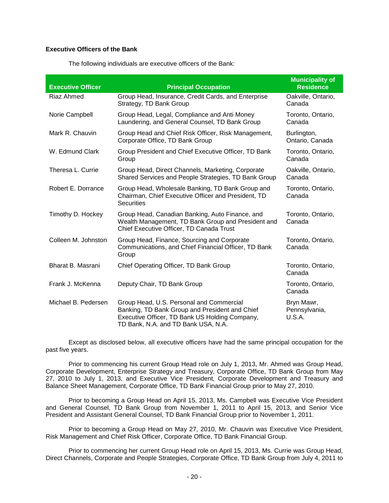# **Executive Officers of the Bank**

| <b>Executive Officer</b> | <b>Principal Occupation</b>                                                                                                                                                         | <b>Municipality of</b><br><b>Residence</b>   |
|--------------------------|-------------------------------------------------------------------------------------------------------------------------------------------------------------------------------------|----------------------------------------------|
| Riaz Ahmed               | Group Head, Insurance, Credit Cards, and Enterprise<br>Strategy, TD Bank Group                                                                                                      | Oakville, Ontario,<br>Canada                 |
| Norie Campbell           | Group Head, Legal, Compliance and Anti Money<br>Laundering, and General Counsel, TD Bank Group                                                                                      | Toronto, Ontario,<br>Canada                  |
| Mark R. Chauvin          | Group Head and Chief Risk Officer, Risk Management,<br>Corporate Office, TD Bank Group                                                                                              | Burlington,<br>Ontario, Canada               |
| W. Edmund Clark          | Group President and Chief Executive Officer, TD Bank<br>Group                                                                                                                       | Toronto, Ontario,<br>Canada                  |
| Theresa L. Currie        | Group Head, Direct Channels, Marketing, Corporate<br>Shared Services and People Strategies, TD Bank Group                                                                           | Oakville, Ontario,<br>Canada                 |
| Robert E. Dorrance       | Group Head, Wholesale Banking, TD Bank Group and<br>Chairman, Chief Executive Officer and President, TD<br><b>Securities</b>                                                        | Toronto, Ontario,<br>Canada                  |
| Timothy D. Hockey        | Group Head, Canadian Banking, Auto Finance, and<br>Wealth Management, TD Bank Group and President and<br>Chief Executive Officer, TD Canada Trust                                   | Toronto, Ontario,<br>Canada                  |
| Colleen M. Johnston      | Group Head, Finance, Sourcing and Corporate<br>Communications, and Chief Financial Officer, TD Bank<br>Group                                                                        | Toronto, Ontario,<br>Canada                  |
| Bharat B. Masrani        | Chief Operating Officer, TD Bank Group                                                                                                                                              | Toronto, Ontario,<br>Canada                  |
| Frank J. McKenna         | Deputy Chair, TD Bank Group                                                                                                                                                         | Toronto, Ontario,<br>Canada                  |
| Michael B. Pedersen      | Group Head, U.S. Personal and Commercial<br>Banking, TD Bank Group and President and Chief<br>Executive Officer, TD Bank US Holding Company,<br>TD Bank, N.A. and TD Bank USA, N.A. | Bryn Mawr,<br>Pennsylvania,<br><b>U.S.A.</b> |

The following individuals are executive officers of the Bank:

Except as disclosed below, all executive officers have had the same principal occupation for the past five years.

Prior to commencing his current Group Head role on July 1, 2013, Mr. Ahmed was Group Head, Corporate Development, Enterprise Strategy and Treasury, Corporate Office, TD Bank Group from May 27, 2010 to July 1, 2013, and Executive Vice President, Corporate Development and Treasury and Balance Sheet Management, Corporate Office, TD Bank Financial Group prior to May 27, 2010.

Prior to becoming a Group Head on April 15, 2013, Ms. Campbell was Executive Vice President and General Counsel, TD Bank Group from November 1, 2011 to April 15, 2013, and Senior Vice President and Assistant General Counsel, TD Bank Financial Group prior to November 1, 2011.

Prior to becoming a Group Head on May 27, 2010, Mr. Chauvin was Executive Vice President, Risk Management and Chief Risk Officer, Corporate Office, TD Bank Financial Group.

Prior to commencing her current Group Head role on April 15, 2013, Ms. Currie was Group Head, Direct Channels, Corporate and People Strategies, Corporate Office, TD Bank Group from July 4, 2011 to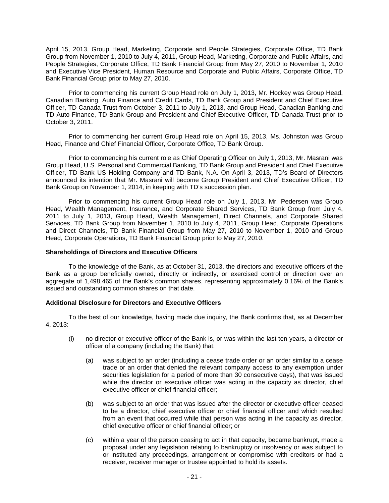April 15, 2013, Group Head, Marketing, Corporate and People Strategies, Corporate Office, TD Bank Group from November 1, 2010 to July 4, 2011, Group Head, Marketing, Corporate and Public Affairs, and People Strategies, Corporate Office, TD Bank Financial Group from May 27, 2010 to November 1, 2010 and Executive Vice President, Human Resource and Corporate and Public Affairs, Corporate Office, TD Bank Financial Group prior to May 27, 2010.

Prior to commencing his current Group Head role on July 1, 2013, Mr. Hockey was Group Head, Canadian Banking, Auto Finance and Credit Cards, TD Bank Group and President and Chief Executive Officer, TD Canada Trust from October 3, 2011 to July 1, 2013, and Group Head, Canadian Banking and TD Auto Finance, TD Bank Group and President and Chief Executive Officer, TD Canada Trust prior to October 3, 2011.

Prior to commencing her current Group Head role on April 15, 2013, Ms. Johnston was Group Head, Finance and Chief Financial Officer, Corporate Office, TD Bank Group.

Prior to commencing his current role as Chief Operating Officer on July 1, 2013, Mr. Masrani was Group Head, U.S. Personal and Commercial Banking, TD Bank Group and President and Chief Executive Officer, TD Bank US Holding Company and TD Bank, N.A. On April 3, 2013, TD's Board of Directors announced its intention that Mr. Masrani will become Group President and Chief Executive Officer, TD Bank Group on November 1, 2014, in keeping with TD's succession plan.

Prior to commencing his current Group Head role on July 1, 2013, Mr. Pedersen was Group Head, Wealth Management, Insurance, and Corporate Shared Services, TD Bank Group from July 4, 2011 to July 1, 2013, Group Head, Wealth Management, Direct Channels, and Corporate Shared Services, TD Bank Group from November 1, 2010 to July 4, 2011, Group Head, Corporate Operations and Direct Channels, TD Bank Financial Group from May 27, 2010 to November 1, 2010 and Group Head, Corporate Operations, TD Bank Financial Group prior to May 27, 2010.

#### **Shareholdings of Directors and Executive Officers**

To the knowledge of the Bank, as at October 31, 2013, the directors and executive officers of the Bank as a group beneficially owned, directly or indirectly, or exercised control or direction over an aggregate of 1,498,465 of the Bank's common shares, representing approximately 0.16% of the Bank's issued and outstanding common shares on that date.

# **Additional Disclosure for Directors and Executive Officers**

To the best of our knowledge, having made due inquiry, the Bank confirms that, as at December 4, 2013:

- (i) no director or executive officer of the Bank is, or was within the last ten years, a director or officer of a company (including the Bank) that:
	- (a) was subject to an order (including a cease trade order or an order similar to a cease trade or an order that denied the relevant company access to any exemption under securities legislation for a period of more than 30 consecutive days), that was issued while the director or executive officer was acting in the capacity as director, chief executive officer or chief financial officer;
	- (b) was subject to an order that was issued after the director or executive officer ceased to be a director, chief executive officer or chief financial officer and which resulted from an event that occurred while that person was acting in the capacity as director, chief executive officer or chief financial officer; or
	- (c) within a year of the person ceasing to act in that capacity, became bankrupt, made a proposal under any legislation relating to bankruptcy or insolvency or was subject to or instituted any proceedings, arrangement or compromise with creditors or had a receiver, receiver manager or trustee appointed to hold its assets.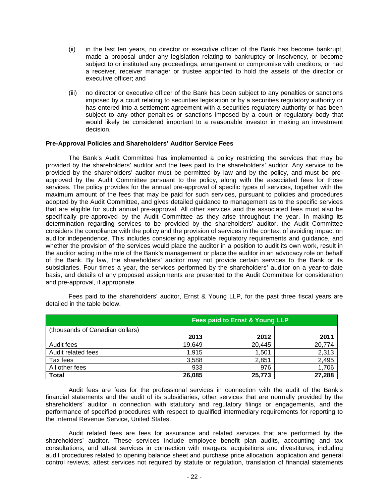- (ii) in the last ten years, no director or executive officer of the Bank has become bankrupt, made a proposal under any legislation relating to bankruptcy or insolvency, or become subject to or instituted any proceedings, arrangement or compromise with creditors, or had a receiver, receiver manager or trustee appointed to hold the assets of the director or executive officer; and
- (iii) no director or executive officer of the Bank has been subject to any penalties or sanctions imposed by a court relating to securities legislation or by a securities regulatory authority or has entered into a settlement agreement with a securities regulatory authority or has been subject to any other penalties or sanctions imposed by a court or regulatory body that would likely be considered important to a reasonable investor in making an investment decision.

# **Pre-Approval Policies and Shareholders' Auditor Service Fees**

The Bank's Audit Committee has implemented a policy restricting the services that may be provided by the shareholders' auditor and the fees paid to the shareholders' auditor. Any service to be provided by the shareholders' auditor must be permitted by law and by the policy, and must be preapproved by the Audit Committee pursuant to the policy, along with the associated fees for those services. The policy provides for the annual pre-approval of specific types of services, together with the maximum amount of the fees that may be paid for such services, pursuant to policies and procedures adopted by the Audit Committee, and gives detailed guidance to management as to the specific services that are eligible for such annual pre-approval. All other services and the associated fees must also be specifically pre-approved by the Audit Committee as they arise throughout the year. In making its determination regarding services to be provided by the shareholders' auditor, the Audit Committee considers the compliance with the policy and the provision of services in the context of avoiding impact on auditor independence. This includes considering applicable regulatory requirements and guidance, and whether the provision of the services would place the auditor in a position to audit its own work, result in the auditor acting in the role of the Bank's management or place the auditor in an advocacy role on behalf of the Bank. By law, the shareholders' auditor may not provide certain services to the Bank or its subsidiaries. Four times a year, the services performed by the shareholders' auditor on a year-to-date basis, and details of any proposed assignments are presented to the Audit Committee for consideration and pre-approval, if appropriate.

|                                 | Fees paid to Ernst & Young LLP |        |        |
|---------------------------------|--------------------------------|--------|--------|
| (thousands of Canadian dollars) |                                |        |        |
|                                 | 2013                           | 2012   | 2011   |
| Audit fees                      | 19,649                         | 20,445 | 20,774 |
| Audit related fees              | 1,915                          | 1,501  | 2,313  |
| Tax fees                        | 3,588                          | 2,851  | 2,495  |
| All other fees                  | 933                            | 976    | 1,706  |
| <b>Total</b>                    | 26,085                         | 25,773 | 27,288 |

Fees paid to the shareholders' auditor, Ernst & Young LLP, for the past three fiscal years are detailed in the table below.

Audit fees are fees for the professional services in connection with the audit of the Bank's financial statements and the audit of its subsidiaries, other services that are normally provided by the shareholders' auditor in connection with statutory and regulatory filings or engagements, and the performance of specified procedures with respect to qualified intermediary requirements for reporting to the Internal Revenue Service, United States.

Audit related fees are fees for assurance and related services that are performed by the shareholders' auditor. These services include employee benefit plan audits, accounting and tax consultations, and attest services in connection with mergers, acquisitions and divestitures, including audit procedures related to opening balance sheet and purchase price allocation, application and general control reviews, attest services not required by statute or regulation, translation of financial statements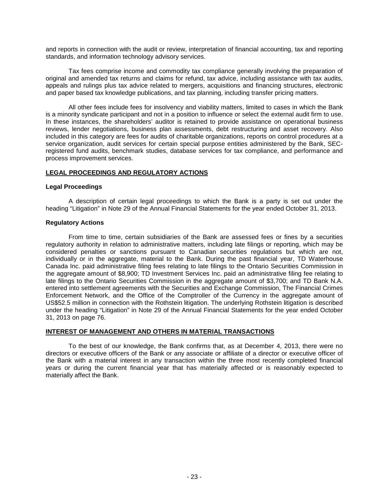and reports in connection with the audit or review, interpretation of financial accounting, tax and reporting standards, and information technology advisory services.

Tax fees comprise income and commodity tax compliance generally involving the preparation of original and amended tax returns and claims for refund, tax advice, including assistance with tax audits, appeals and rulings plus tax advice related to mergers, acquisitions and financing structures, electronic and paper based tax knowledge publications, and tax planning, including transfer pricing matters.

All other fees include fees for insolvency and viability matters, limited to cases in which the Bank is a minority syndicate participant and not in a position to influence or select the external audit firm to use. In these instances, the shareholders' auditor is retained to provide assistance on operational business reviews, lender negotiations, business plan assessments, debt restructuring and asset recovery. Also included in this category are fees for audits of charitable organizations, reports on control procedures at a service organization, audit services for certain special purpose entities administered by the Bank, SECregistered fund audits, benchmark studies, database services for tax compliance, and performance and process improvement services.

# **LEGAL PROCEEDINGS AND REGULATORY ACTIONS**

# **Legal Proceedings**

A description of certain legal proceedings to which the Bank is a party is set out under the heading "Litigation" in Note 29 of the Annual Financial Statements for the year ended October 31, 2013.

# **Regulatory Actions**

From time to time, certain subsidiaries of the Bank are assessed fees or fines by a securities regulatory authority in relation to administrative matters, including late filings or reporting, which may be considered penalties or sanctions pursuant to Canadian securities regulations but which are not, individually or in the aggregate, material to the Bank. During the past financial year, TD Waterhouse Canada Inc. paid administrative filing fees relating to late filings to the Ontario Securities Commission in the aggregate amount of \$8,900; TD Investment Services Inc. paid an administrative filing fee relating to late filings to the Ontario Securities Commission in the aggregate amount of \$3,700; and TD Bank N.A. entered into settlement agreements with the Securities and Exchange Commission, The Financial Crimes Enforcement Network, and the Office of the Comptroller of the Currency in the aggregate amount of US\$52.5 million in connection with the Rothstein litigation. The underlying Rothstein litigation is described under the heading "Litigation" in Note 29 of the Annual Financial Statements for the year ended October 31, 2013 on page 76.

# **INTEREST OF MANAGEMENT AND OTHERS IN MATERIAL TRANSACTIONS**

To the best of our knowledge, the Bank confirms that, as at December 4, 2013, there were no directors or executive officers of the Bank or any associate or affiliate of a director or executive officer of the Bank with a material interest in any transaction within the three most recently completed financial years or during the current financial year that has materially affected or is reasonably expected to materially affect the Bank.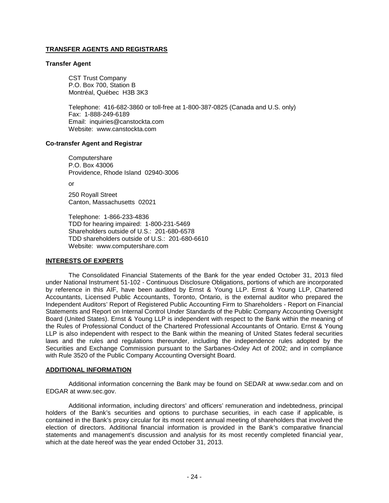# **TRANSFER AGENTS AND REGISTRARS**

# **Transfer Agent**

CST Trust Company P.O. Box 700, Station B Montréal, Québec H3B 3K3

Telephone: 416-682-3860 or toll-free at 1-800-387-0825 (Canada and U.S. only) Fax: 1-888-249-6189 Email: inquiries@canstockta.com Website: www.canstockta.com

# **Co-transfer Agent and Registrar**

**Computershare** P.O. Box 43006 Providence, Rhode Island 02940-3006

or

250 Royall Street Canton, Massachusetts 02021

Telephone: 1-866-233-4836 TDD for hearing impaired: 1-800-231-5469 Shareholders outside of U.S.: 201-680-6578 TDD shareholders outside of U.S.: 201-680-6610 Website: www.computershare.com

# **INTERESTS OF EXPERTS**

The Consolidated Financial Statements of the Bank for the year ended October 31, 2013 filed under National Instrument 51-102 - Continuous Disclosure Obligations, portions of which are incorporated by reference in this AIF, have been audited by Ernst & Young LLP. Ernst & Young LLP, Chartered Accountants, Licensed Public Accountants, Toronto, Ontario, is the external auditor who prepared the Independent Auditors' Report of Registered Public Accounting Firm to Shareholders - Report on Financial Statements and Report on Internal Control Under Standards of the Public Company Accounting Oversight Board (United States). Ernst & Young LLP is independent with respect to the Bank within the meaning of the Rules of Professional Conduct of the Chartered Professional Accountants of Ontario. Ernst & Young LLP is also independent with respect to the Bank within the meaning of United States federal securities laws and the rules and regulations thereunder, including the independence rules adopted by the Securities and Exchange Commission pursuant to the Sarbanes-Oxley Act of 2002; and in compliance with Rule 3520 of the Public Company Accounting Oversight Board.

# **ADDITIONAL INFORMATION**

Additional information concerning the Bank may be found on SEDAR at www.sedar.com and on EDGAR at www.sec.gov.

Additional information, including directors' and officers' remuneration and indebtedness, principal holders of the Bank's securities and options to purchase securities, in each case if applicable, is contained in the Bank's proxy circular for its most recent annual meeting of shareholders that involved the election of directors. Additional financial information is provided in the Bank's comparative financial statements and management's discussion and analysis for its most recently completed financial year, which at the date hereof was the year ended October 31, 2013.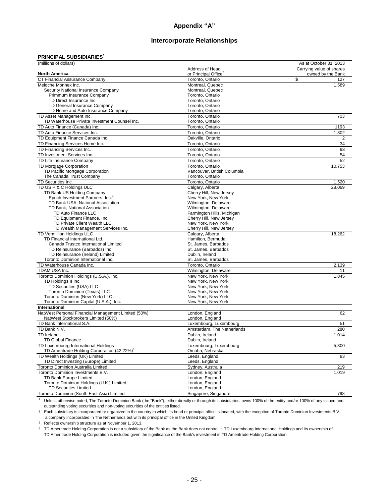# **Appendix "A"**

# **Intercorporate Relationships**

## **PRINCIPAL SUBSIDIARIES1**

| (millions of dollars)                                   |                                           | As at October 31, 2013   |
|---------------------------------------------------------|-------------------------------------------|--------------------------|
|                                                         | Address of Head                           | Carrying value of shares |
| <b>North America</b>                                    | or Principal Office <sup>2</sup>          | owned by the Bank        |
| CT Financial Assurance Company                          | Toronto, Ontario                          | 127<br>\$                |
| Meloche Monnex Inc.                                     | Montreal, Quebec                          | 1,589                    |
| Security National Insurance Company                     | Montreal, Quebec                          |                          |
| Primmum Insurance Company                               | Toronto, Ontario                          |                          |
| TD Direct Insurance Inc.                                | Toronto, Ontario                          |                          |
| TD General Insurance Company                            | Toronto, Ontario                          |                          |
| TD Home and Auto Insurance Company                      | Toronto, Ontario                          |                          |
| TD Asset Management Inc.                                | Toronto, Ontario                          | 703                      |
| TD Waterhouse Private Investment Counsel Inc.           | Toronto, Ontario                          |                          |
| TD Auto Finance (Canada) Inc.                           | Toronto, Ontario                          | 1193                     |
| TD Auto Finance Services Inc.                           | Toronto, Ontario                          | 1,302                    |
| TD Equipment Finance Canada Inc.                        | Oakville, Ontario                         | 2                        |
| TD Financing Services Home Inc.                         | Toronto, Ontario                          | 34                       |
| TD Financing Services Inc.                              | Toronto, Ontario                          | 93                       |
| TD Investment Services Inc.                             | Toronto, Ontario                          | 54                       |
| TD Life Insurance Company                               | Toronto, Ontario                          | 52                       |
| TD Mortgage Corporation                                 | Toronto, Ontario                          | 10,753                   |
| TD Pacific Mortgage Corporation                         | Vancouver, British Columbia               |                          |
| The Canada Trust Company                                | Toronto, Ontario                          |                          |
| TD Securities Inc.                                      | Toronto, Ontario                          | 1,520                    |
| TD US P & C Holdings ULC                                | Calgary, Alberta                          | 28,069                   |
| TD Bank US Holding Company                              | Cherry Hill, New Jersey                   |                          |
| Epoch Investment Partners, Inc. <sup>3</sup>            | New York, New York                        |                          |
| TD Bank USA, National Association                       | Wilmington, Delaware                      |                          |
| TD Bank, National Association                           | Wilmington, Delaware                      |                          |
| <b>TD Auto Finance LLC</b>                              | Farmington Hills, Michigan                |                          |
| TD Equipment Finance, Inc.                              | Cherry Hill, New Jersey                   |                          |
| TD Private Client Wealth LLC                            | New York, New York                        |                          |
| TD Wealth Management Services Inc.                      | Cherry Hill, New Jersey                   |                          |
| TD Vermillion Holdings ULC                              | Calgary, Alberta                          | 18,262                   |
| TD Financial International Ltd.                         | Hamilton, Bermuda                         |                          |
| Canada Trustco International Limited                    | St. James. Barbados                       |                          |
| TD Reinsurance (Barbados) Inc.                          | St. James, Barbados                       |                          |
| TD Reinsurance (Ireland) Limited                        | Dublin, Ireland                           |                          |
| Toronto Dominion International Inc.                     | St. James, Barbados                       |                          |
| TD Waterhouse Canada Inc.                               | Toronto, Ontario                          | 2,139                    |
| TDAM USA Inc.                                           | Wilmington, Delaware                      | 11                       |
| Toronto Dominion Holdings (U.S.A.), Inc.                | New York, New York                        | 1,845                    |
| TD Holdings II Inc.                                     | New York, New York                        |                          |
| TD Securities (USA) LLC                                 | New York, New York                        |                          |
| Toronto Dominion (Texas) LLC                            | New York, New York                        |                          |
| Toronto Dominion (New York) LLC                         | New York, New York                        |                          |
| Toronto Dominion Capital (U.S.A.), Inc.                 | New York, New York                        |                          |
| International                                           |                                           |                          |
| NatWest Personal Financial Management Limited (50%)     | London, England                           | 62                       |
| NatWest Stockbrokers Limited (50%)                      | London, England                           |                          |
| TD Bank International S.A.                              | Luxembourg, Luxembourg                    | 51                       |
| TD Bank N.V.                                            | Amsterdam, The Netherlands                | 280                      |
| <b>TD</b> Ireland                                       | Dublin, Ireland                           | 1,014                    |
| <b>TD Global Finance</b>                                | Dublin, Ireland                           |                          |
| TD Luxembourg International Holdings                    |                                           | 5,300                    |
| TD Ameritrade Holding Corporation (42.22%) <sup>4</sup> | Luxembourg, Luxembourg<br>Omaha, Nebraska |                          |
| TD Wealth Holdings (UK) Limited                         | Leeds, England                            |                          |
|                                                         |                                           | 83                       |
| TD Direct Investing (Europe) Limited                    | Leeds, England                            |                          |
| Toronto Dominion Australia Limited                      | Sydney, Australia                         | 219                      |
| Toronto Dominion Investments B.V.                       | London, England                           | 1,019                    |
| TD Bank Europe Limited                                  | London, England                           |                          |
| Toronto Dominion Holdings (U.K.) Limited                | London, England                           |                          |
| <b>TD Securities Limited</b>                            | London, England                           |                          |
| Toronto Dominion (South East Asia) Limited              | Singapore, Singapore                      | 798                      |

<sup>1</sup> Unless otherwise noted, The Toronto-Dominion Bank (the "Bank"), either directly or through its subsidiaries, owns 100% of the entity and/or 100% of any issued and outstanding voting securities and non-voting securities of the entities listed.

<sup>2</sup> Each subsidiary is incorporated or organized in the country in which its head or principal office is located, with the exception of Toronto Dominion Investments B.V., a company incorporated in The Netherlands but with its principal office in the United Kingdom.

3 Reflects ownership structure as at November 1, 2013.

4 TD Ameritrade Holding Corporation is not a subsidiary of the Bank as the Bank does not control it. TD Luxembourg International Holdings and its ownership of TD Ameritrade Holding Corporation is included given the significance of the Bank's investment in TD Ameritrade Holding Corporation.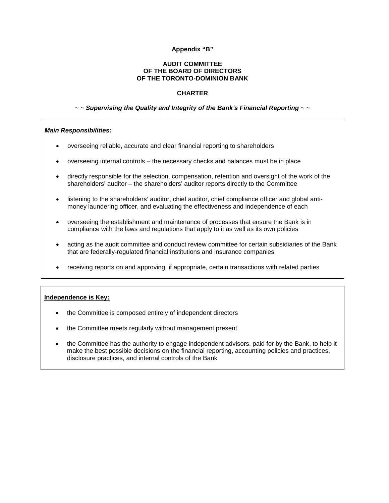# **Appendix "B"**

# **AUDIT COMMITTEE OF THE BOARD OF DIRECTORS OF THE TORONTO-DOMINION BANK**

## **CHARTER**

# *~ ~ Supervising the Quality and Integrity of the Bank's Financial Reporting ~ ~*

#### *Main Responsibilities:*

- overseeing reliable, accurate and clear financial reporting to shareholders
- overseeing internal controls the necessary checks and balances must be in place
- directly responsible for the selection, compensation, retention and oversight of the work of the shareholders' auditor – the shareholders' auditor reports directly to the Committee
- listening to the shareholders' auditor, chief auditor, chief compliance officer and global antimoney laundering officer, and evaluating the effectiveness and independence of each
- overseeing the establishment and maintenance of processes that ensure the Bank is in compliance with the laws and regulations that apply to it as well as its own policies
- acting as the audit committee and conduct review committee for certain subsidiaries of the Bank that are federally-regulated financial institutions and insurance companies
- receiving reports on and approving, if appropriate, certain transactions with related parties

# **Independence is Key:**

- the Committee is composed entirely of independent directors
- the Committee meets regularly without management present
- the Committee has the authority to engage independent advisors, paid for by the Bank, to help it make the best possible decisions on the financial reporting, accounting policies and practices, disclosure practices, and internal controls of the Bank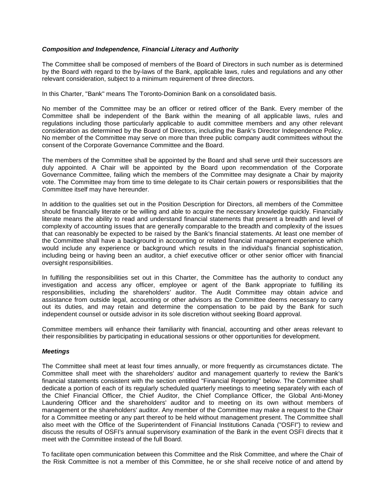# *Composition and Independence, Financial Literacy and Authority*

The Committee shall be composed of members of the Board of Directors in such number as is determined by the Board with regard to the by-laws of the Bank, applicable laws, rules and regulations and any other relevant consideration, subject to a minimum requirement of three directors.

In this Charter, "Bank" means The Toronto-Dominion Bank on a consolidated basis.

No member of the Committee may be an officer or retired officer of the Bank. Every member of the Committee shall be independent of the Bank within the meaning of all applicable laws, rules and regulations including those particularly applicable to audit committee members and any other relevant consideration as determined by the Board of Directors, including the Bank's Director Independence Policy. No member of the Committee may serve on more than three public company audit committees without the consent of the Corporate Governance Committee and the Board.

The members of the Committee shall be appointed by the Board and shall serve until their successors are duly appointed. A Chair will be appointed by the Board upon recommendation of the Corporate Governance Committee, failing which the members of the Committee may designate a Chair by majority vote. The Committee may from time to time delegate to its Chair certain powers or responsibilities that the Committee itself may have hereunder.

In addition to the qualities set out in the Position Description for Directors, all members of the Committee should be financially literate or be willing and able to acquire the necessary knowledge quickly. Financially literate means the ability to read and understand financial statements that present a breadth and level of complexity of accounting issues that are generally comparable to the breadth and complexity of the issues that can reasonably be expected to be raised by the Bank's financial statements. At least one member of the Committee shall have a background in accounting or related financial management experience which would include any experience or background which results in the individual's financial sophistication, including being or having been an auditor, a chief executive officer or other senior officer with financial oversight responsibilities.

In fulfilling the responsibilities set out in this Charter, the Committee has the authority to conduct any investigation and access any officer, employee or agent of the Bank appropriate to fulfilling its responsibilities, including the shareholders' auditor. The Audit Committee may obtain advice and assistance from outside legal, accounting or other advisors as the Committee deems necessary to carry out its duties, and may retain and determine the compensation to be paid by the Bank for such independent counsel or outside advisor in its sole discretion without seeking Board approval.

Committee members will enhance their familiarity with financial, accounting and other areas relevant to their responsibilities by participating in educational sessions or other opportunities for development.

# *Meetings*

The Committee shall meet at least four times annually, or more frequently as circumstances dictate. The Committee shall meet with the shareholders' auditor and management quarterly to review the Bank's financial statements consistent with the section entitled "Financial Reporting" below. The Committee shall dedicate a portion of each of its regularly scheduled quarterly meetings to meeting separately with each of the Chief Financial Officer, the Chief Auditor, the Chief Compliance Officer, the Global Anti-Money Laundering Officer and the shareholders' auditor and to meeting on its own without members of management or the shareholders' auditor. Any member of the Committee may make a request to the Chair for a Committee meeting or any part thereof to be held without management present. The Committee shall also meet with the Office of the Superintendent of Financial Institutions Canada ("OSFI") to review and discuss the results of OSFI's annual supervisory examination of the Bank in the event OSFI directs that it meet with the Committee instead of the full Board.

To facilitate open communication between this Committee and the Risk Committee, and where the Chair of the Risk Committee is not a member of this Committee, he or she shall receive notice of and attend by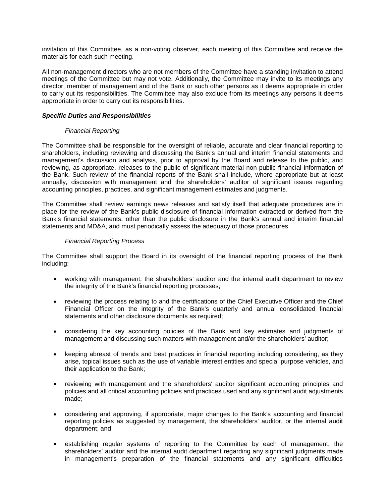invitation of this Committee, as a non-voting observer, each meeting of this Committee and receive the materials for each such meeting.

All non-management directors who are not members of the Committee have a standing invitation to attend meetings of the Committee but may not vote. Additionally, the Committee may invite to its meetings any director, member of management and of the Bank or such other persons as it deems appropriate in order to carry out its responsibilities. The Committee may also exclude from its meetings any persons it deems appropriate in order to carry out its responsibilities.

# *Specific Duties and Responsibilities*

# *Financial Reporting*

The Committee shall be responsible for the oversight of reliable, accurate and clear financial reporting to shareholders, including reviewing and discussing the Bank's annual and interim financial statements and management's discussion and analysis, prior to approval by the Board and release to the public, and reviewing, as appropriate, releases to the public of significant material non-public financial information of the Bank. Such review of the financial reports of the Bank shall include, where appropriate but at least annually, discussion with management and the shareholders' auditor of significant issues regarding accounting principles, practices, and significant management estimates and judgments.

The Committee shall review earnings news releases and satisfy itself that adequate procedures are in place for the review of the Bank's public disclosure of financial information extracted or derived from the Bank's financial statements, other than the public disclosure in the Bank's annual and interim financial statements and MD&A, and must periodically assess the adequacy of those procedures.

# *Financial Reporting Process*

The Committee shall support the Board in its oversight of the financial reporting process of the Bank including:

- working with management, the shareholders' auditor and the internal audit department to review the integrity of the Bank's financial reporting processes;
- reviewing the process relating to and the certifications of the Chief Executive Officer and the Chief Financial Officer on the integrity of the Bank's quarterly and annual consolidated financial statements and other disclosure documents as required;
- considering the key accounting policies of the Bank and key estimates and judgments of management and discussing such matters with management and/or the shareholders' auditor;
- keeping abreast of trends and best practices in financial reporting including considering, as they arise, topical issues such as the use of variable interest entities and special purpose vehicles, and their application to the Bank;
- reviewing with management and the shareholders' auditor significant accounting principles and policies and all critical accounting policies and practices used and any significant audit adjustments made;
- considering and approving, if appropriate, major changes to the Bank's accounting and financial reporting policies as suggested by management, the shareholders' auditor, or the internal audit department; and
- establishing regular systems of reporting to the Committee by each of management, the shareholders' auditor and the internal audit department regarding any significant judgments made in management's preparation of the financial statements and any significant difficulties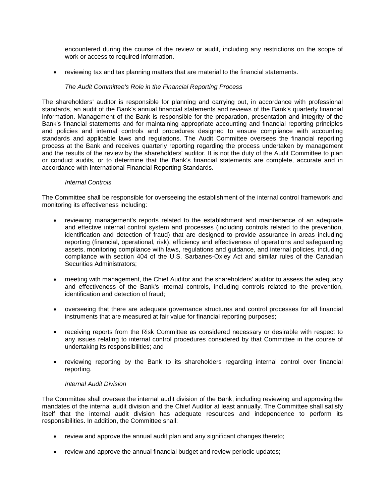encountered during the course of the review or audit, including any restrictions on the scope of work or access to required information.

• reviewing tax and tax planning matters that are material to the financial statements.

# *The Audit Committee's Role in the Financial Reporting Process*

The shareholders' auditor is responsible for planning and carrying out, in accordance with professional standards, an audit of the Bank's annual financial statements and reviews of the Bank's quarterly financial information. Management of the Bank is responsible for the preparation, presentation and integrity of the Bank's financial statements and for maintaining appropriate accounting and financial reporting principles and policies and internal controls and procedures designed to ensure compliance with accounting standards and applicable laws and regulations. The Audit Committee oversees the financial reporting process at the Bank and receives quarterly reporting regarding the process undertaken by management and the results of the review by the shareholders' auditor. It is not the duty of the Audit Committee to plan or conduct audits, or to determine that the Bank's financial statements are complete, accurate and in accordance with International Financial Reporting Standards.

# *Internal Controls*

The Committee shall be responsible for overseeing the establishment of the internal control framework and monitoring its effectiveness including:

- reviewing management's reports related to the establishment and maintenance of an adequate and effective internal control system and processes (including controls related to the prevention, identification and detection of fraud) that are designed to provide assurance in areas including reporting (financial, operational, risk), efficiency and effectiveness of operations and safeguarding assets, monitoring compliance with laws, regulations and guidance, and internal policies, including compliance with section 404 of the U.S. Sarbanes-Oxley Act and similar rules of the Canadian Securities Administrators;
- meeting with management, the Chief Auditor and the shareholders' auditor to assess the adequacy and effectiveness of the Bank's internal controls, including controls related to the prevention, identification and detection of fraud;
- overseeing that there are adequate governance structures and control processes for all financial instruments that are measured at fair value for financial reporting purposes;
- receiving reports from the Risk Committee as considered necessary or desirable with respect to any issues relating to internal control procedures considered by that Committee in the course of undertaking its responsibilities; and
- reviewing reporting by the Bank to its shareholders regarding internal control over financial reporting.

# *Internal Audit Division*

The Committee shall oversee the internal audit division of the Bank, including reviewing and approving the mandates of the internal audit division and the Chief Auditor at least annually. The Committee shall satisfy itself that the internal audit division has adequate resources and independence to perform its responsibilities. In addition, the Committee shall:

- review and approve the annual audit plan and any significant changes thereto;
- review and approve the annual financial budget and review periodic updates;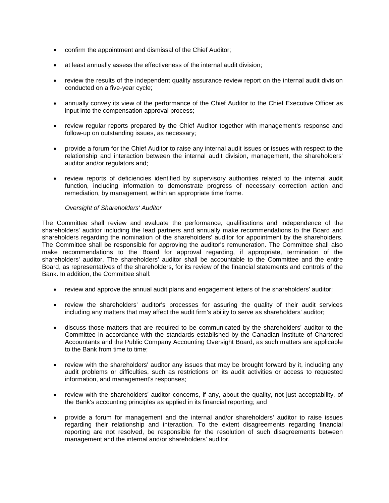- confirm the appointment and dismissal of the Chief Auditor;
- at least annually assess the effectiveness of the internal audit division;
- review the results of the independent quality assurance review report on the internal audit division conducted on a five-year cycle;
- annually convey its view of the performance of the Chief Auditor to the Chief Executive Officer as input into the compensation approval process;
- review regular reports prepared by the Chief Auditor together with management's response and follow-up on outstanding issues, as necessary;
- provide a forum for the Chief Auditor to raise any internal audit issues or issues with respect to the relationship and interaction between the internal audit division, management, the shareholders' auditor and/or regulators and;
- review reports of deficiencies identified by supervisory authorities related to the internal audit function, including information to demonstrate progress of necessary correction action and remediation, by management, within an appropriate time frame.

# *Oversight of Shareholders' Auditor*

The Committee shall review and evaluate the performance, qualifications and independence of the shareholders' auditor including the lead partners and annually make recommendations to the Board and shareholders regarding the nomination of the shareholders' auditor for appointment by the shareholders. The Committee shall be responsible for approving the auditor's remuneration. The Committee shall also make recommendations to the Board for approval regarding, if appropriate, termination of the shareholders' auditor. The shareholders' auditor shall be accountable to the Committee and the entire Board, as representatives of the shareholders, for its review of the financial statements and controls of the Bank. In addition, the Committee shall:

- review and approve the annual audit plans and engagement letters of the shareholders' auditor;
- review the shareholders' auditor's processes for assuring the quality of their audit services including any matters that may affect the audit firm's ability to serve as shareholders' auditor;
- discuss those matters that are required to be communicated by the shareholders' auditor to the Committee in accordance with the standards established by the Canadian Institute of Chartered Accountants and the Public Company Accounting Oversight Board, as such matters are applicable to the Bank from time to time;
- review with the shareholders' auditor any issues that may be brought forward by it, including any audit problems or difficulties, such as restrictions on its audit activities or access to requested information, and management's responses;
- review with the shareholders' auditor concerns, if any, about the quality, not just acceptability, of the Bank's accounting principles as applied in its financial reporting; and
- provide a forum for management and the internal and/or shareholders' auditor to raise issues regarding their relationship and interaction. To the extent disagreements regarding financial reporting are not resolved, be responsible for the resolution of such disagreements between management and the internal and/or shareholders' auditor.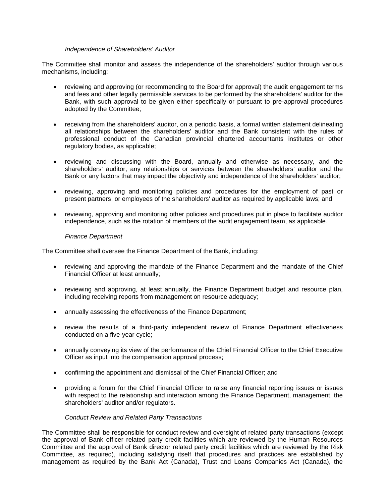# *Independence of Shareholders' Auditor*

The Committee shall monitor and assess the independence of the shareholders' auditor through various mechanisms, including:

- reviewing and approving (or recommending to the Board for approval) the audit engagement terms and fees and other legally permissible services to be performed by the shareholders' auditor for the Bank, with such approval to be given either specifically or pursuant to pre-approval procedures adopted by the Committee;
- receiving from the shareholders' auditor, on a periodic basis, a formal written statement delineating all relationships between the shareholders' auditor and the Bank consistent with the rules of professional conduct of the Canadian provincial chartered accountants institutes or other regulatory bodies, as applicable;
- reviewing and discussing with the Board, annually and otherwise as necessary, and the shareholders' auditor, any relationships or services between the shareholders' auditor and the Bank or any factors that may impact the objectivity and independence of the shareholders' auditor;
- reviewing, approving and monitoring policies and procedures for the employment of past or present partners, or employees of the shareholders' auditor as required by applicable laws; and
- reviewing, approving and monitoring other policies and procedures put in place to facilitate auditor independence, such as the rotation of members of the audit engagement team, as applicable.

# *Finance Department*

The Committee shall oversee the Finance Department of the Bank, including:

- reviewing and approving the mandate of the Finance Department and the mandate of the Chief Financial Officer at least annually;
- reviewing and approving, at least annually, the Finance Department budget and resource plan, including receiving reports from management on resource adequacy;
- annually assessing the effectiveness of the Finance Department;
- review the results of a third-party independent review of Finance Department effectiveness conducted on a five-year cycle;
- annually conveying its view of the performance of the Chief Financial Officer to the Chief Executive Officer as input into the compensation approval process;
- confirming the appointment and dismissal of the Chief Financial Officer; and
- providing a forum for the Chief Financial Officer to raise any financial reporting issues or issues with respect to the relationship and interaction among the Finance Department, management, the shareholders' auditor and/or regulators.

# *Conduct Review and Related Party Transactions*

The Committee shall be responsible for conduct review and oversight of related party transactions (except the approval of Bank officer related party credit facilities which are reviewed by the Human Resources Committee and the approval of Bank director related party credit facilities which are reviewed by the Risk Committee, as required), including satisfying itself that procedures and practices are established by management as required by the Bank Act (Canada), Trust and Loans Companies Act (Canada), the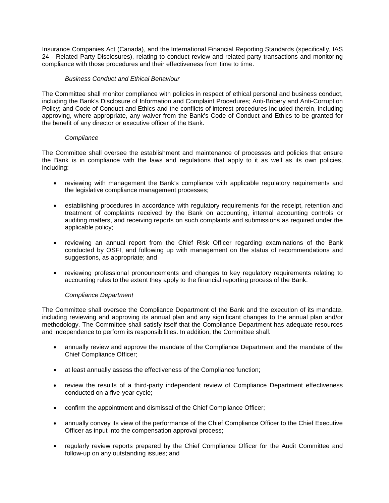Insurance Companies Act (Canada), and the International Financial Reporting Standards (specifically, IAS 24 - Related Party Disclosures), relating to conduct review and related party transactions and monitoring compliance with those procedures and their effectiveness from time to time.

# *Business Conduct and Ethical Behaviour*

The Committee shall monitor compliance with policies in respect of ethical personal and business conduct, including the Bank's Disclosure of Information and Complaint Procedures; Anti-Bribery and Anti-Corruption Policy; and Code of Conduct and Ethics and the conflicts of interest procedures included therein, including approving, where appropriate, any waiver from the Bank's Code of Conduct and Ethics to be granted for the benefit of any director or executive officer of the Bank.

# *Compliance*

The Committee shall oversee the establishment and maintenance of processes and policies that ensure the Bank is in compliance with the laws and regulations that apply to it as well as its own policies, including:

- reviewing with management the Bank's compliance with applicable regulatory requirements and the legislative compliance management processes;
- establishing procedures in accordance with regulatory requirements for the receipt, retention and treatment of complaints received by the Bank on accounting, internal accounting controls or auditing matters, and receiving reports on such complaints and submissions as required under the applicable policy;
- reviewing an annual report from the Chief Risk Officer regarding examinations of the Bank conducted by OSFI, and following up with management on the status of recommendations and suggestions, as appropriate; and
- reviewing professional pronouncements and changes to key regulatory requirements relating to accounting rules to the extent they apply to the financial reporting process of the Bank.

# *Compliance Department*

The Committee shall oversee the Compliance Department of the Bank and the execution of its mandate, including reviewing and approving its annual plan and any significant changes to the annual plan and/or methodology. The Committee shall satisfy itself that the Compliance Department has adequate resources and independence to perform its responsibilities. In addition, the Committee shall:

- annually review and approve the mandate of the Compliance Department and the mandate of the Chief Compliance Officer;
- at least annually assess the effectiveness of the Compliance function;
- review the results of a third-party independent review of Compliance Department effectiveness conducted on a five-year cycle;
- confirm the appointment and dismissal of the Chief Compliance Officer;
- annually convey its view of the performance of the Chief Compliance Officer to the Chief Executive Officer as input into the compensation approval process;
- regularly review reports prepared by the Chief Compliance Officer for the Audit Committee and follow-up on any outstanding issues; and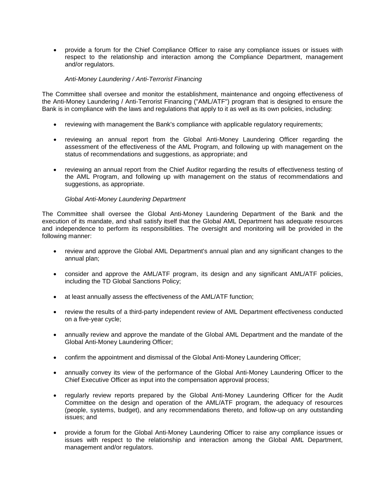• provide a forum for the Chief Compliance Officer to raise any compliance issues or issues with respect to the relationship and interaction among the Compliance Department, management and/or regulators.

# *Anti-Money Laundering / Anti-Terrorist Financing*

The Committee shall oversee and monitor the establishment, maintenance and ongoing effectiveness of the Anti-Money Laundering / Anti-Terrorist Financing ("AML/ATF") program that is designed to ensure the Bank is in compliance with the laws and regulations that apply to it as well as its own policies, including:

- reviewing with management the Bank's compliance with applicable regulatory requirements;
- reviewing an annual report from the Global Anti-Money Laundering Officer regarding the assessment of the effectiveness of the AML Program, and following up with management on the status of recommendations and suggestions, as appropriate; and
- reviewing an annual report from the Chief Auditor regarding the results of effectiveness testing of the AML Program, and following up with management on the status of recommendations and suggestions, as appropriate.

# *Global Anti-Money Laundering Department*

The Committee shall oversee the Global Anti-Money Laundering Department of the Bank and the execution of its mandate, and shall satisfy itself that the Global AML Department has adequate resources and independence to perform its responsibilities. The oversight and monitoring will be provided in the following manner:

- review and approve the Global AML Department's annual plan and any significant changes to the annual plan;
- consider and approve the AML/ATF program, its design and any significant AML/ATF policies, including the TD Global Sanctions Policy;
- at least annually assess the effectiveness of the AML/ATF function;
- review the results of a third-party independent review of AML Department effectiveness conducted on a five-year cycle;
- annually review and approve the mandate of the Global AML Department and the mandate of the Global Anti-Money Laundering Officer;
- confirm the appointment and dismissal of the Global Anti-Money Laundering Officer;
- annually convey its view of the performance of the Global Anti-Money Laundering Officer to the Chief Executive Officer as input into the compensation approval process;
- regularly review reports prepared by the Global Anti-Money Laundering Officer for the Audit Committee on the design and operation of the AML/ATF program, the adequacy of resources (people, systems, budget), and any recommendations thereto, and follow-up on any outstanding issues; and
- provide a forum for the Global Anti-Money Laundering Officer to raise any compliance issues or issues with respect to the relationship and interaction among the Global AML Department, management and/or regulators.